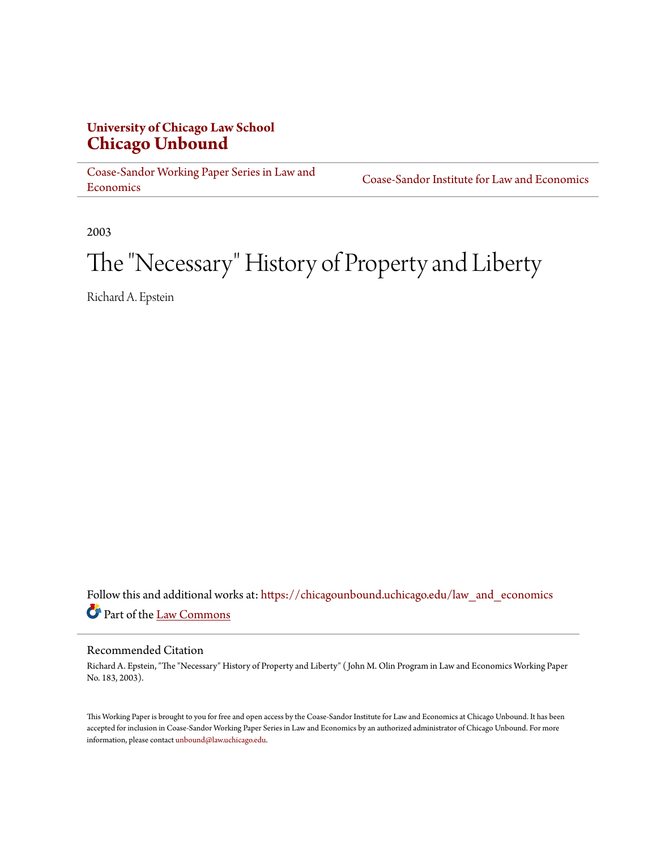#### **University of Chicago Law School [Chicago Unbound](https://chicagounbound.uchicago.edu?utm_source=chicagounbound.uchicago.edu%2Flaw_and_economics%2F480&utm_medium=PDF&utm_campaign=PDFCoverPages)**

[Coase-Sandor Working Paper Series in Law and](https://chicagounbound.uchicago.edu/law_and_economics?utm_source=chicagounbound.uchicago.edu%2Flaw_and_economics%2F480&utm_medium=PDF&utm_campaign=PDFCoverPages) [Economics](https://chicagounbound.uchicago.edu/law_and_economics?utm_source=chicagounbound.uchicago.edu%2Flaw_and_economics%2F480&utm_medium=PDF&utm_campaign=PDFCoverPages)

[Coase-Sandor Institute for Law and Economics](https://chicagounbound.uchicago.edu/coase_sandor_institute?utm_source=chicagounbound.uchicago.edu%2Flaw_and_economics%2F480&utm_medium=PDF&utm_campaign=PDFCoverPages)

2003

## The "Necessary" History of Property and Liberty

Richard A. Epstein

Follow this and additional works at: [https://chicagounbound.uchicago.edu/law\\_and\\_economics](https://chicagounbound.uchicago.edu/law_and_economics?utm_source=chicagounbound.uchicago.edu%2Flaw_and_economics%2F480&utm_medium=PDF&utm_campaign=PDFCoverPages) Part of the [Law Commons](http://network.bepress.com/hgg/discipline/578?utm_source=chicagounbound.uchicago.edu%2Flaw_and_economics%2F480&utm_medium=PDF&utm_campaign=PDFCoverPages)

#### Recommended Citation

Richard A. Epstein, "The "Necessary" History of Property and Liberty" ( John M. Olin Program in Law and Economics Working Paper No. 183, 2003).

This Working Paper is brought to you for free and open access by the Coase-Sandor Institute for Law and Economics at Chicago Unbound. It has been accepted for inclusion in Coase-Sandor Working Paper Series in Law and Economics by an authorized administrator of Chicago Unbound. For more information, please contact [unbound@law.uchicago.edu.](mailto:unbound@law.uchicago.edu)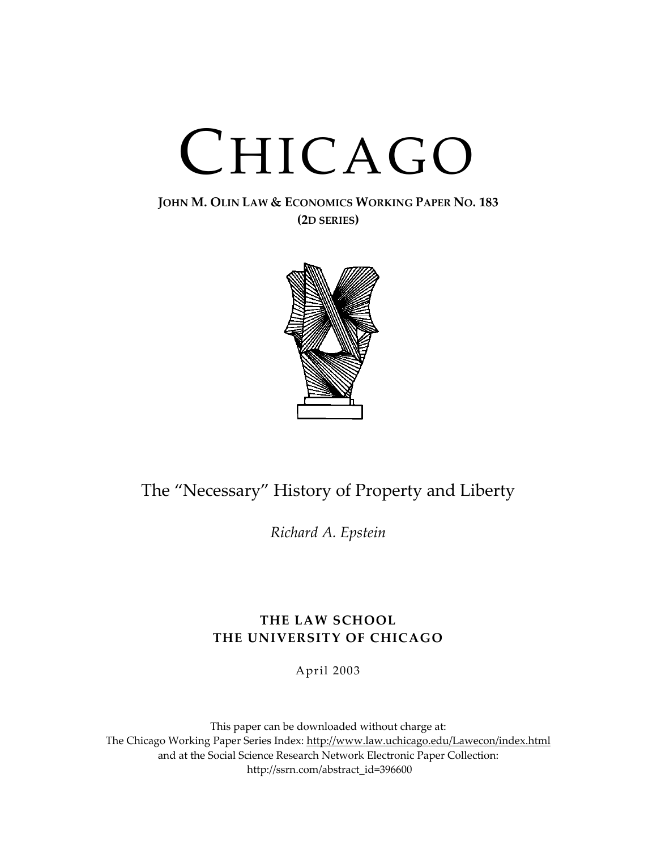# CHICAGO

#### **JOHN M. OLIN LAW & ECONOMICS WORKING PAPER NO. 183 (2D SERIES)**



### The "Necessary" History of Property and Liberty

*Richard A. Epstein*

#### **THE LAW SCHOOL THE UNIVERSITY OF CHICAGO**

April 2003

This paper can be downloaded without charge at: The Chicago Working Paper Series Index: [http://www.law.uchicago.edu/Lawecon/index.html](http://www.law.uchicago.edu/Publications/Working/index.html) and at the Social Science Research Network Electronic Paper Collection: [http://ssrn.com/abstract\\_id=396600](http://papers.ssrn.com/sol3/search.taf)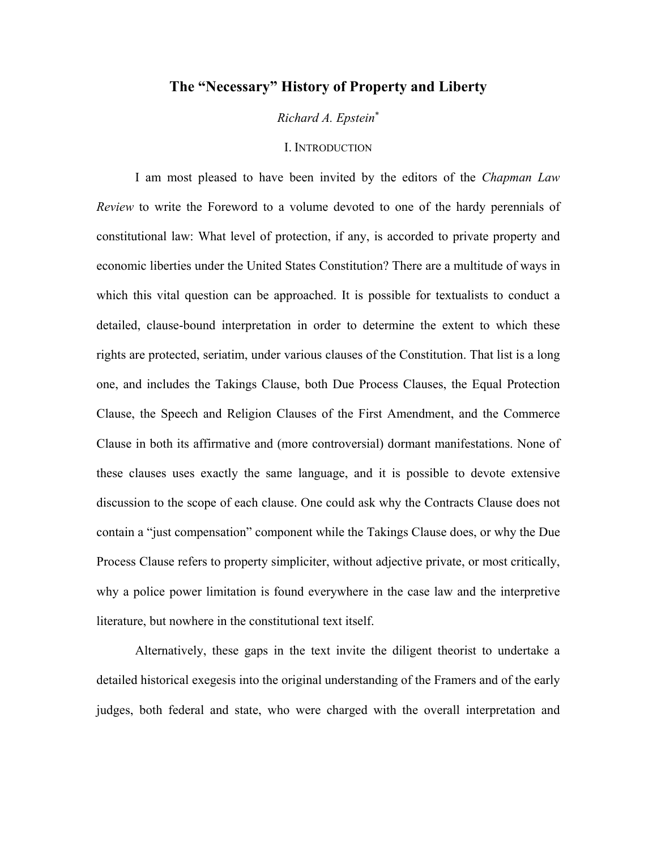#### **The "Necessary" History of Property and Liberty**

*Richard A. Epstein*[∗](#page-2-0)

#### I. INTRODUCTION

I am most pleased to have been invited by the editors of the *Chapman Law Review* to write the Foreword to a volume devoted to one of the hardy perennials of constitutional law: What level of protection, if any, is accorded to private property and economic liberties under the United States Constitution? There are a multitude of ways in which this vital question can be approached. It is possible for textualists to conduct a detailed, clause-bound interpretation in order to determine the extent to which these rights are protected, seriatim, under various clauses of the Constitution. That list is a long one, and includes the Takings Clause, both Due Process Clauses, the Equal Protection Clause, the Speech and Religion Clauses of the First Amendment, and the Commerce Clause in both its affirmative and (more controversial) dormant manifestations. None of these clauses uses exactly the same language, and it is possible to devote extensive discussion to the scope of each clause. One could ask why the Contracts Clause does not contain a "just compensation" component while the Takings Clause does, or why the Due Process Clause refers to property simpliciter, without adjective private, or most critically, why a police power limitation is found everywhere in the case law and the interpretive literature, but nowhere in the constitutional text itself.

<span id="page-2-0"></span>Alternatively, these gaps in the text invite the diligent theorist to undertake a detailed historical exegesis into the original understanding of the Framers and of the early judges, both federal and state, who were charged with the overall interpretation and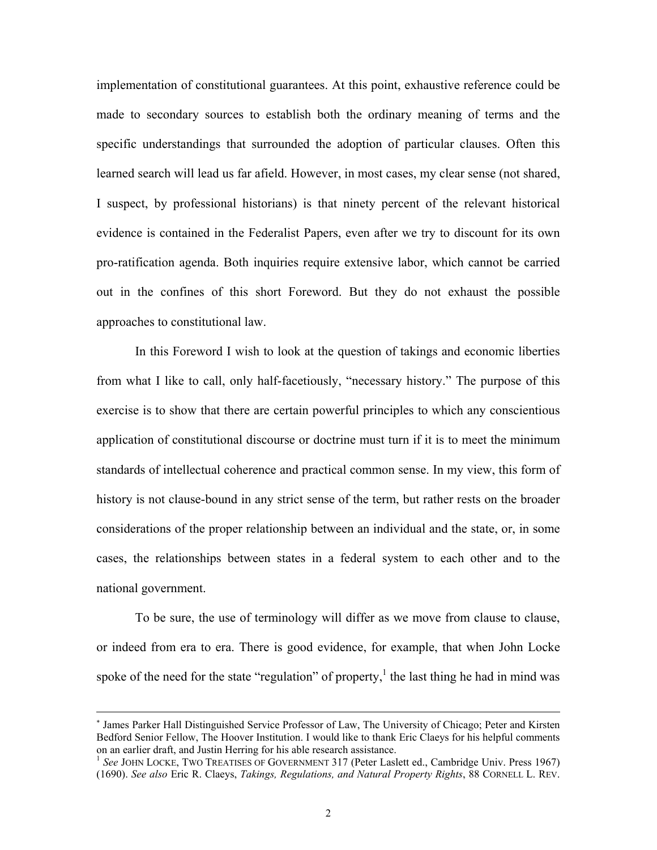<span id="page-3-0"></span>implementation of constitutional guarantees. At this point, exhaustive reference could be made to secondary sources to establish both the ordinary meaning of terms and the specific understandings that surrounded the adoption of particular clauses. Often this learned search will lead us far afield. However, in most cases, my clear sense (not shared, I suspect, by professional historians) is that ninety percent of the relevant historical evidence is contained in the Federalist Papers, even after we try to discount for its own pro-ratification agenda. Both inquiries require extensive labor, which cannot be carried out in the confines of this short Foreword. But they do not exhaust the possible approaches to constitutional law.

In this Foreword I wish to look at the question of takings and economic liberties from what I like to call, only half-facetiously, "necessary history." The purpose of this exercise is to show that there are certain powerful principles to which any conscientious application of constitutional discourse or doctrine must turn if it is to meet the minimum standards of intellectual coherence and practical common sense. In my view, this form of history is not clause-bound in any strict sense of the term, but rather rests on the broader considerations of the proper relationship between an individual and the state, or, in some cases, the relationships between states in a federal system to each other and to the national government.

To be sure, the use of terminology will differ as we move from clause to clause, or indeed from era to era. There is good evidence, for example, that when John Locke spoke of the need for the state "regulation" of property, $\frac{1}{1}$  the last thing he had in mind was

<sup>∗</sup> James Parker Hall Distinguished Service Professor of Law, The University of Chicago; Peter and Kirsten Bedford Senior Fellow, The Hoover Institution. I would like to thank Eric Claeys for his helpful comments on an earlier draft, and Justin Herring for his able research assistance.

<sup>&</sup>lt;sup>1</sup> See JOHN LOCKE, TWO TREATISES OF GOVERNMENT 317 (Peter Laslett ed., Cambridge Univ. Press 1967) (1690). *See also* Eric R. Claeys, *Takings, Regulations, and Natural Property Rights*, 88 CORNELL L. REV.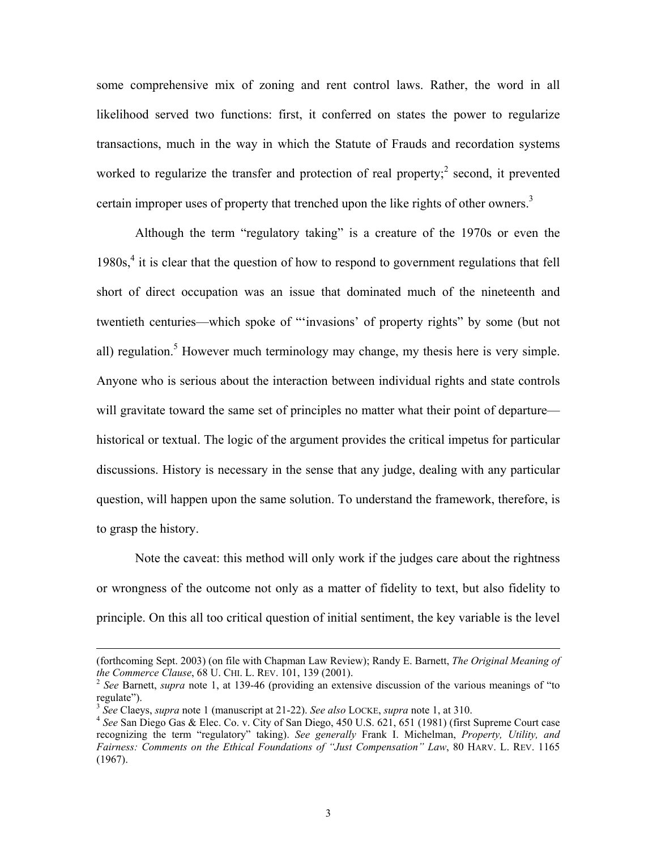some comprehensive mix of zoning and rent control laws. Rather, the word in all likelihood served two functions: first, it conferred on states the power to regularize transactions, much in the way in which the Statute of Frauds and recordation systems worked to regularize the transfer and protection of real property; $\degree$  second, it prevented certain improper uses of property that trenched upon the like rights of other owners.<sup>3</sup>

Although the term "regulatory taking" is a creature of the 1970s or even the  $1980s<sub>1</sub><sup>4</sup>$  $1980s<sub>1</sub><sup>4</sup>$  $1980s<sub>1</sub><sup>4</sup>$  it is clear that the question of how to respond to government regulations that fell short of direct occupation was an issue that dominated much of the nineteenth and twentieth centuries—which spoke of "'invasions' of property rights" by some (but not all) regulation.<sup>[5](#page-4-3)</sup> However much terminology may change, my thesis here is very simple. Anyone who is serious about the interaction between individual rights and state controls will gravitate toward the same set of principles no matter what their point of departure historical or textual. The logic of the argument provides the critical impetus for particular discussions. History is necessary in the sense that any judge, dealing with any particular question, will happen upon the same solution. To understand the framework, therefore, is to grasp the history.

Note the caveat: this method will only work if the judges care about the rightness or wrongness of the outcome not only as a matter of fidelity to text, but also fidelity to principle. On this all too critical question of initial sentiment, the key variable is the level

 <sup>(</sup>forthcoming Sept. 2003) (on file with Chapman Law Review); Randy E. Barnett, *The Original Meaning of the Commerce Clause*, 68 U. CHI. L. REV. 101, 139 (2001).<br><sup>2</sup> *See* Barnett, *supra* note 1, at 139-46 (providing an extensive discussion of the various meanings of "to

<span id="page-4-0"></span>regulate").<br><sup>3</sup> See Claevs, *supra* note 1 (manuscript at 21-22). See also LOCKE, *supra* note 1, at 310.

<span id="page-4-1"></span>

<span id="page-4-3"></span><span id="page-4-2"></span><sup>&</sup>lt;sup>4</sup> See San Diego Gas & Elec. Co. v. City of San Diego, 450 U.S. 621, 651 (1981) (first Supreme Court case recognizing the term "regulatory" taking). *See generally* Frank I. Michelman, *Property, Utility, and Fairness: Comments on the Ethical Foundations of "Just Compensation" Law*, 80 HARV. L. REV. 1165 (1967).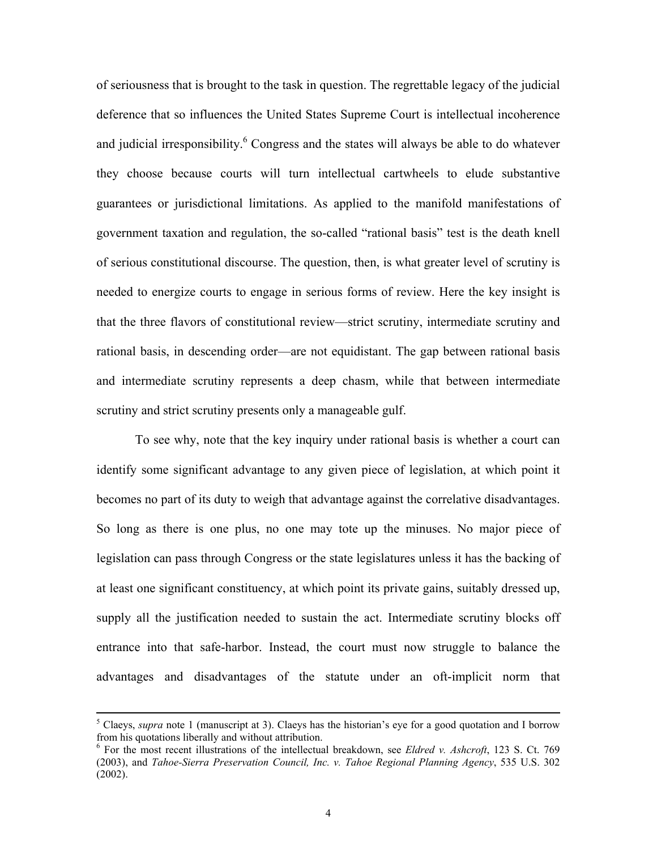of seriousness that is brought to the task in question. The regrettable legacy of the judicial deference that so influences the United States Supreme Court is intellectual incoherence and judicial irresponsibility.<sup>[6](#page-5-0)</sup> Congress and the states will always be able to do whatever they choose because courts will turn intellectual cartwheels to elude substantive guarantees or jurisdictional limitations. As applied to the manifold manifestations of government taxation and regulation, the so-called "rational basis" test is the death knell of serious constitutional discourse. The question, then, is what greater level of scrutiny is needed to energize courts to engage in serious forms of review. Here the key insight is that the three flavors of constitutional review—strict scrutiny, intermediate scrutiny and rational basis, in descending order—are not equidistant. The gap between rational basis and intermediate scrutiny represents a deep chasm, while that between intermediate scrutiny and strict scrutiny presents only a manageable gulf.

To see why, note that the key inquiry under rational basis is whether a court can identify some significant advantage to any given piece of legislation, at which point it becomes no part of its duty to weigh that advantage against the correlative disadvantages. So long as there is one plus, no one may tote up the minuses. No major piece of legislation can pass through Congress or the state legislatures unless it has the backing of at least one significant constituency, at which point its private gains, suitably dressed up, supply all the justification needed to sustain the act. Intermediate scrutiny blocks off entrance into that safe-harbor. Instead, the court must now struggle to balance the advantages and disadvantages of the statute under an oft-implicit norm that

 <sup>5</sup> <sup>5</sup> Claeys, *supra* note 1 (manuscript at 3). Claeys has the historian's eye for a good quotation and I borrow from his quotations liberally and without attribution. 6 For the most recent illustrations of the intellectual breakdown, see *Eldred v. Ashcroft*, 123 S. Ct. 769

<span id="page-5-0"></span><sup>(2003),</sup> and *Tahoe-Sierra Preservation Council, Inc. v. Tahoe Regional Planning Agency*, 535 U.S. 302 (2002).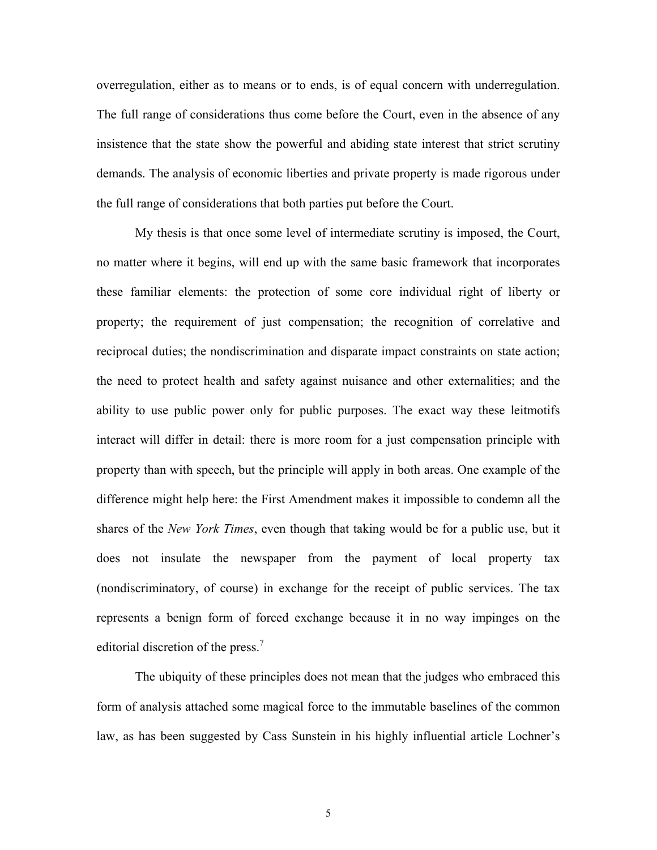overregulation, either as to means or to ends, is of equal concern with underregulation. The full range of considerations thus come before the Court, even in the absence of any insistence that the state show the powerful and abiding state interest that strict scrutiny demands. The analysis of economic liberties and private property is made rigorous under the full range of considerations that both parties put before the Court.

My thesis is that once some level of intermediate scrutiny is imposed, the Court, no matter where it begins, will end up with the same basic framework that incorporates these familiar elements: the protection of some core individual right of liberty or property; the requirement of just compensation; the recognition of correlative and reciprocal duties; the nondiscrimination and disparate impact constraints on state action; the need to protect health and safety against nuisance and other externalities; and the ability to use public power only for public purposes. The exact way these leitmotifs interact will differ in detail: there is more room for a just compensation principle with property than with speech, but the principle will apply in both areas. One example of the difference might help here: the First Amendment makes it impossible to condemn all the shares of the *New York Times*, even though that taking would be for a public use, but it does not insulate the newspaper from the payment of local property tax (nondiscriminatory, of course) in exchange for the receipt of public services. The tax represents a benign form of forced exchange because it in no way impinges on the editorial discretion of the press.<sup>[7](#page-6-0)</sup>

<span id="page-6-0"></span>The ubiquity of these principles does not mean that the judges who embraced this form of analysis attached some magical force to the immutable baselines of the common law, as has been suggested by Cass Sunstein in his highly influential article Lochner's

5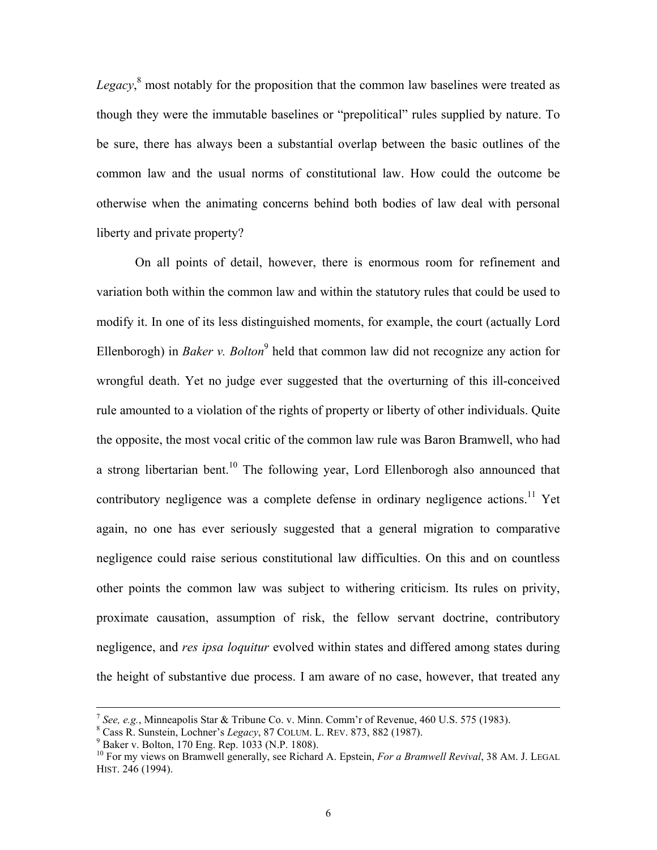Legacy,<sup>[8](#page-7-0)</sup> most notably for the proposition that the common law baselines were treated as though they were the immutable baselines or "prepolitical" rules supplied by nature. To be sure, there has always been a substantial overlap between the basic outlines of the common law and the usual norms of constitutional law. How could the outcome be otherwise when the animating concerns behind both bodies of law deal with personal liberty and private property?

On all points of detail, however, there is enormous room for refinement and variation both within the common law and within the statutory rules that could be used to modify it. In one of its less distinguished moments, for example, the court (actually Lord Ellenborogh) in *Baker v. Bolton*<sup>[9](#page-7-1)</sup> held that common law did not recognize any action for wrongful death. Yet no judge ever suggested that the overturning of this ill-conceived rule amounted to a violation of the rights of property or liberty of other individuals. Quite the opposite, the most vocal critic of the common law rule was Baron Bramwell, who had a strong libertarian bent.<sup>10</sup> The following year, Lord Ellenborogh also announced that contributory negligence was a complete defense in ordinary negligence actions.<sup>11</sup> Yet again, no one has ever seriously suggested that a general migration to comparative negligence could raise serious constitutional law difficulties. On this and on countless other points the common law was subject to withering criticism. Its rules on privity, proximate causation, assumption of risk, the fellow servant doctrine, contributory negligence, and *res ipsa loquitur* evolved within states and differed among states during the height of substantive due process. I am aware of no case, however, that treated any

<span id="page-7-3"></span><sup>7</sup> *See, e.g.*, Minneapolis Star & Tribune Co. v. Minn. Comm'r of Revenue, 460 U.S. 575 (1983). 8

<span id="page-7-0"></span><sup>&</sup>lt;sup>8</sup> Cass R. Sunstein, Lochner's *Legacy*, 87 COLUM. L. REV. 873, 882 (1987). <sup>9</sup> Baker v. Bolton, 170 Eng. Rep. 1033 (N.P. 1808).

<span id="page-7-1"></span>

<span id="page-7-2"></span><sup>&</sup>lt;sup>10</sup> For my views on Bramwell generally, see Richard A. Epstein, *For a Bramwell Revival*, 38 AM. J. LEGAL HIST. 246 (1994).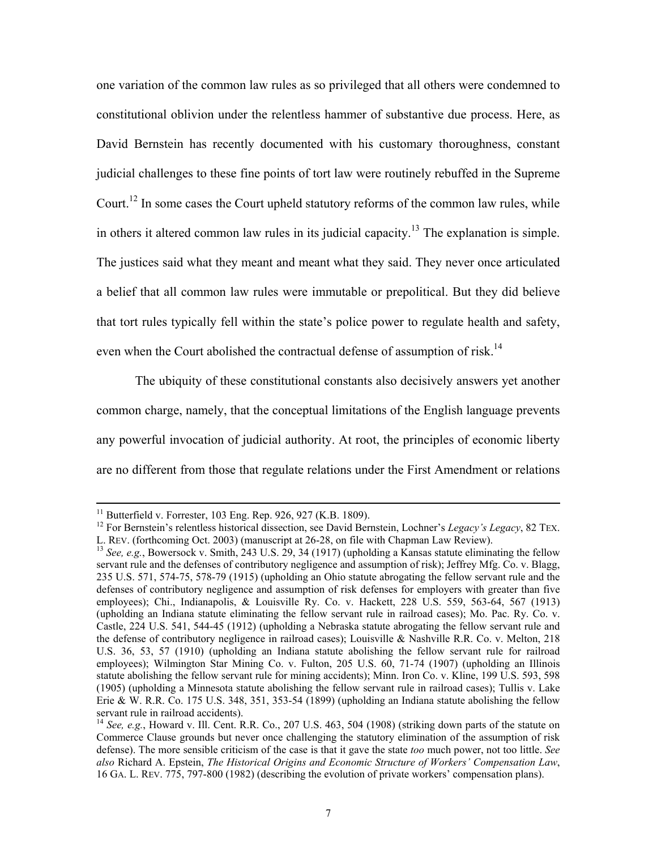one variation of the common law rules as so privileged that all others were condemned to constitutional oblivion under the relentless hammer of substantive due process. Here, as David Bernstein has recently documented with his customary thoroughness, constant judicial challenges to these fine points of tort law were routinely rebuffed in the Supreme Court.<sup>12</sup> In some cases the Court upheld statutory reforms of the common law rules, while in others it altered common law rules in its judicial capacity.<sup>13</sup> The explanation is simple. The justices said what they meant and meant what they said. They never once articulated a belief that all common law rules were immutable or prepolitical. But they did believe that tort rules typically fell within the state's police power to regulate health and safety, even when the Court abolished the contractual defense of assumption of risk.<sup>14</sup>

The ubiquity of these constitutional constants also decisively answers yet another common charge, namely, that the conceptual limitations of the English language prevents any powerful invocation of judicial authority. At root, the principles of economic liberty are no different from those that regulate relations under the First Amendment or relations

<span id="page-8-0"></span>

<sup>&</sup>lt;sup>11</sup> Butterfield v. Forrester, 103 Eng. Rep. 926, 927 (K.B. 1809).<br><sup>12</sup> For Bernstein's relentless historical dissection, see David Bernstein, Lochner's *Legacy's Legacy*, 82 TEX.<br>L. REV. (forthcoming Oct. 2003) (manuscrip

<span id="page-8-1"></span><sup>&</sup>lt;sup>13</sup> *See, e.g.*, Bowersock v. Smith, 243 U.S. 29, 34 (1917) (upholding a Kansas statute eliminating the fellow servant rule and the defenses of contributory negligence and assumption of risk); Jeffrey Mfg. Co. v. Blagg, 235 U.S. 571, 574-75, 578-79 (1915) (upholding an Ohio statute abrogating the fellow servant rule and the defenses of contributory negligence and assumption of risk defenses for employers with greater than five employees); Chi., Indianapolis, & Louisville Ry. Co. v. Hackett, 228 U.S. 559, 563-64, 567 (1913) (upholding an Indiana statute eliminating the fellow servant rule in railroad cases); Mo. Pac. Ry. Co. v. Castle, 224 U.S. 541, 544-45 (1912) (upholding a Nebraska statute abrogating the fellow servant rule and the defense of contributory negligence in railroad cases); Louisville & Nashville R.R. Co. v. Melton, 218 U.S. 36, 53, 57 (1910) (upholding an Indiana statute abolishing the fellow servant rule for railroad employees); Wilmington Star Mining Co. v. Fulton, 205 U.S. 60, 71-74 (1907) (upholding an Illinois statute abolishing the fellow servant rule for mining accidents); Minn. Iron Co. v. Kline, 199 U.S. 593, 598 (1905) (upholding a Minnesota statute abolishing the fellow servant rule in railroad cases); Tullis v. Lake Erie & W. R.R. Co. 175 U.S. 348, 351, 353-54 (1899) (upholding an Indiana statute abolishing the fellow servant rule in railroad accidents).

<span id="page-8-2"></span><sup>&</sup>lt;sup>14</sup> *See, e.g.*, Howard v. Ill. Cent. R.R. Co., 207 U.S. 463, 504 (1908) (striking down parts of the statute on Commerce Clause grounds but never once challenging the statutory elimination of the assumption of risk defense). The more sensible criticism of the case is that it gave the state *too* much power, not too little. *See also* Richard A. Epstein, *The Historical Origins and Economic Structure of Workers' Compensation Law*, 16 GA. L. REV. 775, 797-800 (1982) (describing the evolution of private workers' compensation plans).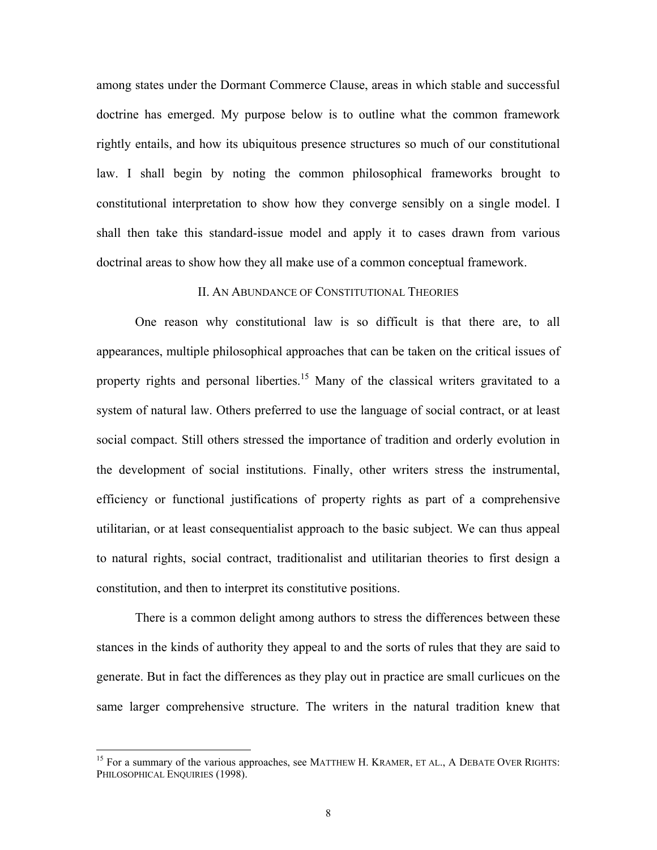among states under the Dormant Commerce Clause, areas in which stable and successful doctrine has emerged. My purpose below is to outline what the common framework rightly entails, and how its ubiquitous presence structures so much of our constitutional law. I shall begin by noting the common philosophical frameworks brought to constitutional interpretation to show how they converge sensibly on a single model. I shall then take this standard-issue model and apply it to cases drawn from various doctrinal areas to show how they all make use of a common conceptual framework.

#### II. AN ABUNDANCE OF CONSTITUTIONAL THEORIES

One reason why constitutional law is so difficult is that there are, to all appearances, multiple philosophical approaches that can be taken on the critical issues of property rights and personal liberties.<sup>15</sup> Many of the classical writers gravitated to a system of natural law. Others preferred to use the language of social contract, or at least social compact. Still others stressed the importance of tradition and orderly evolution in the development of social institutions. Finally, other writers stress the instrumental, efficiency or functional justifications of property rights as part of a comprehensive utilitarian, or at least consequentialist approach to the basic subject. We can thus appeal to natural rights, social contract, traditionalist and utilitarian theories to first design a constitution, and then to interpret its constitutive positions.

There is a common delight among authors to stress the differences between these stances in the kinds of authority they appeal to and the sorts of rules that they are said to generate. But in fact the differences as they play out in practice are small curlicues on the same larger comprehensive structure. The writers in the natural tradition knew that

<span id="page-9-0"></span><sup>&</sup>lt;sup>15</sup> For a summary of the various approaches, see MATTHEW H. KRAMER, ET AL., A DEBATE OVER RIGHTS: PHILOSOPHICAL ENQUIRIES (1998).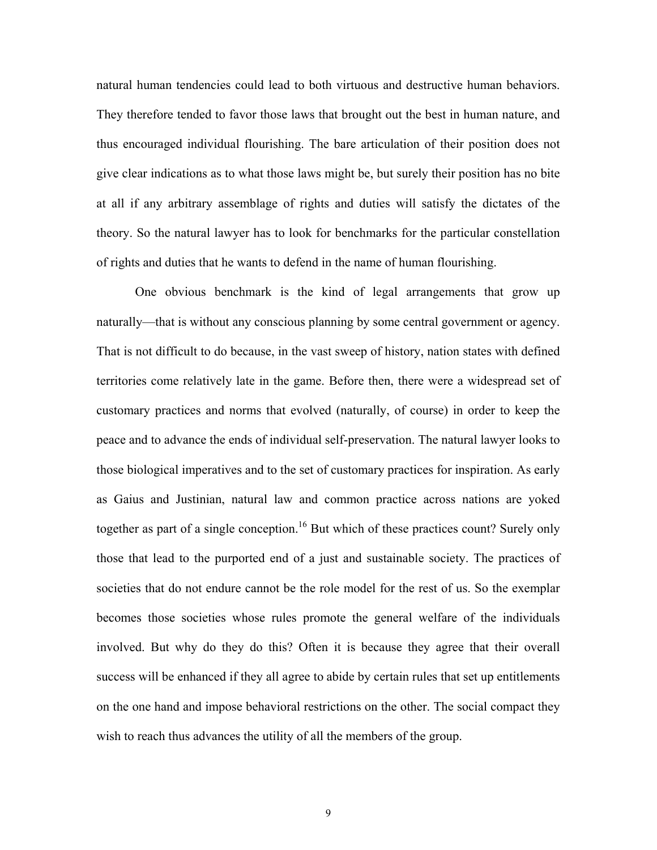natural human tendencies could lead to both virtuous and destructive human behaviors. They therefore tended to favor those laws that brought out the best in human nature, and thus encouraged individual flourishing. The bare articulation of their position does not give clear indications as to what those laws might be, but surely their position has no bite at all if any arbitrary assemblage of rights and duties will satisfy the dictates of the theory. So the natural lawyer has to look for benchmarks for the particular constellation of rights and duties that he wants to defend in the name of human flourishing.

<span id="page-10-0"></span>One obvious benchmark is the kind of legal arrangements that grow up naturally—that is without any conscious planning by some central government or agency. That is not difficult to do because, in the vast sweep of history, nation states with defined territories come relatively late in the game. Before then, there were a widespread set of customary practices and norms that evolved (naturally, of course) in order to keep the peace and to advance the ends of individual self-preservation. The natural lawyer looks to those biological imperatives and to the set of customary practices for inspiration. As early as Gaius and Justinian, natural law and common practice across nations are yoked together as part of a single conception.<sup>16</sup> But which of these practices count? Surely only those that lead to the purported end of a just and sustainable society. The practices of societies that do not endure cannot be the role model for the rest of us. So the exemplar becomes those societies whose rules promote the general welfare of the individuals involved. But why do they do this? Often it is because they agree that their overall success will be enhanced if they all agree to abide by certain rules that set up entitlements on the one hand and impose behavioral restrictions on the other. The social compact they wish to reach thus advances the utility of all the members of the group.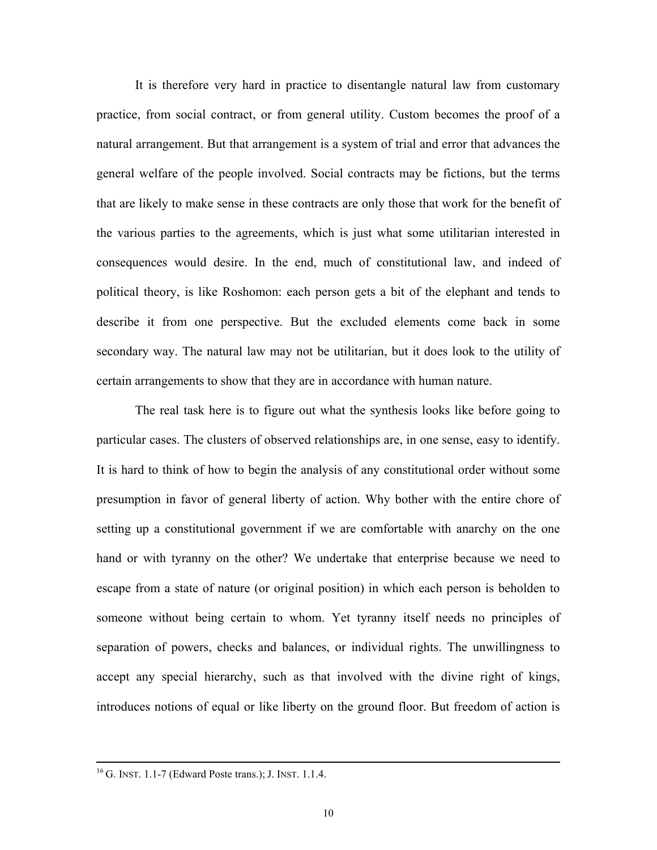It is therefore very hard in practice to disentangle natural law from customary practice, from social contract, or from general utility. Custom becomes the proof of a natural arrangement. But that arrangement is a system of trial and error that advances the general welfare of the people involved. Social contracts may be fictions, but the terms that are likely to make sense in these contracts are only those that work for the benefit of the various parties to the agreements, which is just what some utilitarian interested in consequences would desire. In the end, much of constitutional law, and indeed of political theory, is like Roshomon: each person gets a bit of the elephant and tends to describe it from one perspective. But the excluded elements come back in some secondary way. The natural law may not be utilitarian, but it does look to the utility of certain arrangements to show that they are in accordance with human nature.

The real task here is to figure out what the synthesis looks like before going to particular cases. The clusters of observed relationships are, in one sense, easy to identify. It is hard to think of how to begin the analysis of any constitutional order without some presumption in favor of general liberty of action. Why bother with the entire chore of setting up a constitutional government if we are comfortable with anarchy on the one hand or with tyranny on the other? We undertake that enterprise because we need to escape from a state of nature (or original position) in which each person is beholden to someone without being certain to whom. Yet tyranny itself needs no principles of separation of powers, checks and balances, or individual rights. The unwillingness to accept any special hierarchy, such as that involved with the divine right of kings, introduces notions of equal or like liberty on the ground floor. But freedom of action is

 <sup>16</sup> G. INST. 1.1-7 (Edward Poste trans.); J. INST. 1.1.4.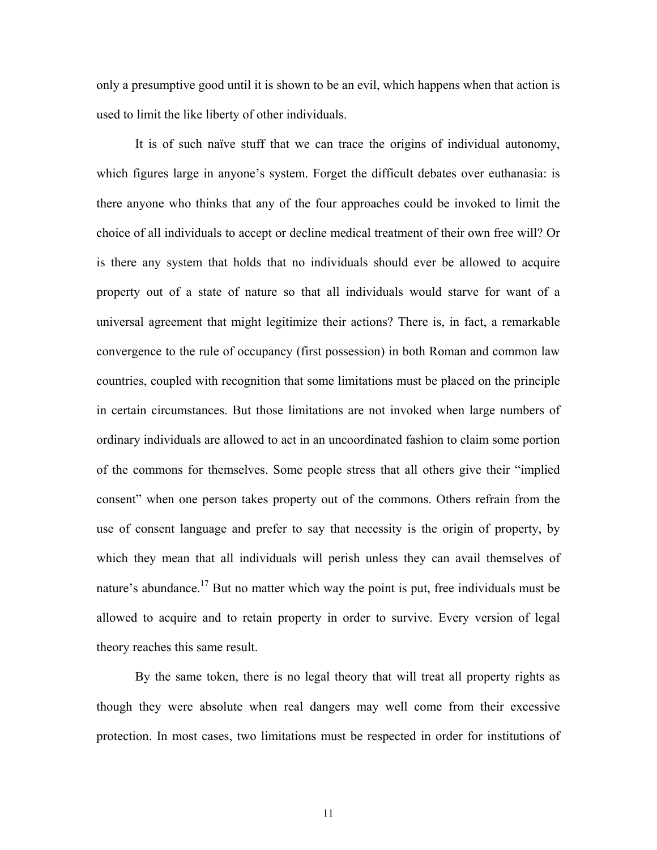only a presumptive good until it is shown to be an evil, which happens when that action is used to limit the like liberty of other individuals.

It is of such naïve stuff that we can trace the origins of individual autonomy, which figures large in anyone's system. Forget the difficult debates over euthanasia: is there anyone who thinks that any of the four approaches could be invoked to limit the choice of all individuals to accept or decline medical treatment of their own free will? Or is there any system that holds that no individuals should ever be allowed to acquire property out of a state of nature so that all individuals would starve for want of a universal agreement that might legitimize their actions? There is, in fact, a remarkable convergence to the rule of occupancy (first possession) in both Roman and common law countries, coupled with recognition that some limitations must be placed on the principle in certain circumstances. But those limitations are not invoked when large numbers of ordinary individuals are allowed to act in an uncoordinated fashion to claim some portion of the commons for themselves. Some people stress that all others give their "implied consent" when one person takes property out of the commons. Others refrain from the use of consent language and prefer to say that necessity is the origin of property, by which they mean that all individuals will perish unless they can avail themselves of nature's abundance.<sup>17</sup> But no matter which way the point is put, free individuals must be allowed to acquire and to retain property in order to survive. Every version of legal theory reaches this same result.

<span id="page-12-0"></span>By the same token, there is no legal theory that will treat all property rights as though they were absolute when real dangers may well come from their excessive protection. In most cases, two limitations must be respected in order for institutions of

11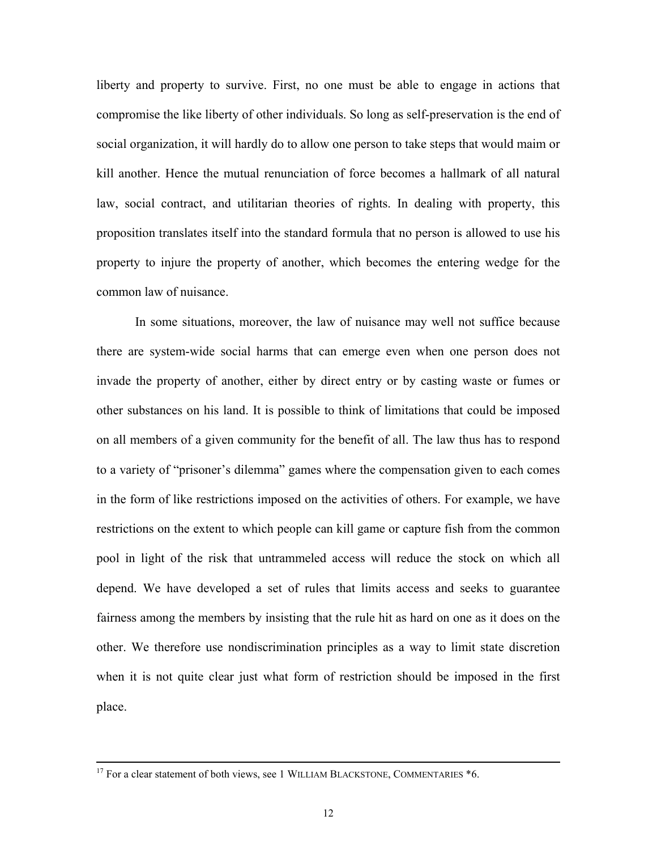liberty and property to survive. First, no one must be able to engage in actions that compromise the like liberty of other individuals. So long as self-preservation is the end of social organization, it will hardly do to allow one person to take steps that would maim or kill another. Hence the mutual renunciation of force becomes a hallmark of all natural law, social contract, and utilitarian theories of rights. In dealing with property, this proposition translates itself into the standard formula that no person is allowed to use his property to injure the property of another, which becomes the entering wedge for the common law of nuisance.

In some situations, moreover, the law of nuisance may well not suffice because there are system-wide social harms that can emerge even when one person does not invade the property of another, either by direct entry or by casting waste or fumes or other substances on his land. It is possible to think of limitations that could be imposed on all members of a given community for the benefit of all. The law thus has to respond to a variety of "prisoner's dilemma" games where the compensation given to each comes in the form of like restrictions imposed on the activities of others. For example, we have restrictions on the extent to which people can kill game or capture fish from the common pool in light of the risk that untrammeled access will reduce the stock on which all depend. We have developed a set of rules that limits access and seeks to guarantee fairness among the members by insisting that the rule hit as hard on one as it does on the other. We therefore use nondiscrimination principles as a way to limit state discretion when it is not quite clear just what form of restriction should be imposed in the first place.

 $17$  For a clear statement of both views, see 1 WILLIAM BLACKSTONE, COMMENTARIES  $*6$ .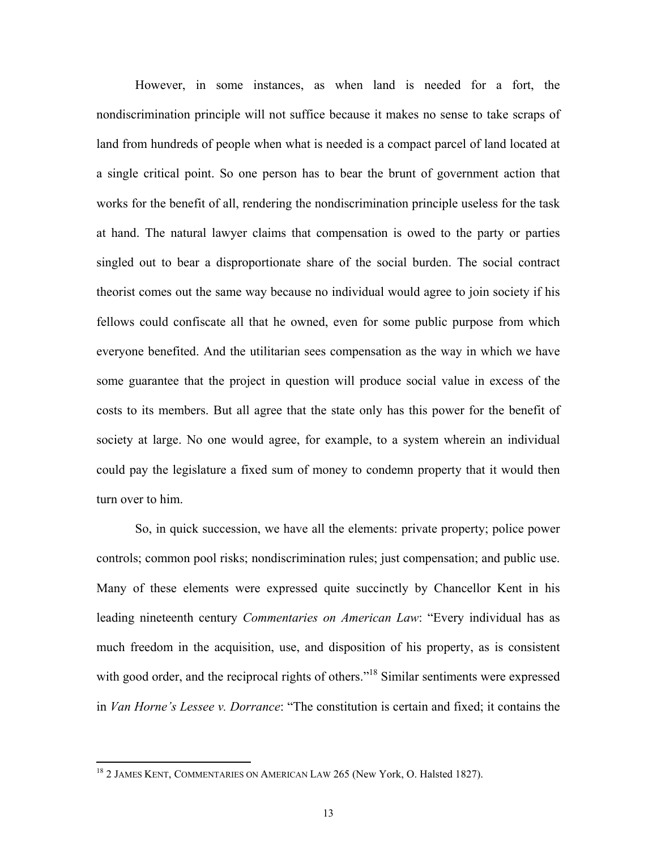However, in some instances, as when land is needed for a fort, the nondiscrimination principle will not suffice because it makes no sense to take scraps of land from hundreds of people when what is needed is a compact parcel of land located at a single critical point. So one person has to bear the brunt of government action that works for the benefit of all, rendering the nondiscrimination principle useless for the task at hand. The natural lawyer claims that compensation is owed to the party or parties singled out to bear a disproportionate share of the social burden. The social contract theorist comes out the same way because no individual would agree to join society if his fellows could confiscate all that he owned, even for some public purpose from which everyone benefited. And the utilitarian sees compensation as the way in which we have some guarantee that the project in question will produce social value in excess of the costs to its members. But all agree that the state only has this power for the benefit of society at large. No one would agree, for example, to a system wherein an individual could pay the legislature a fixed sum of money to condemn property that it would then turn over to him.

So, in quick succession, we have all the elements: private property; police power controls; common pool risks; nondiscrimination rules; just compensation; and public use. Many of these elements were expressed quite succinctly by Chancellor Kent in his leading nineteenth century *Commentaries on American Law*: "Every individual has as much freedom in the acquisition, use, and disposition of his property, as is consistent with good order, and the reciprocal rights of others."<sup>18</sup> Similar sentiments were expressed in *Van Horne's Lessee v. Dorrance*: "The constitution is certain and fixed; it contains the

<span id="page-14-0"></span><sup>&</sup>lt;sup>18</sup> 2 JAMES KENT, COMMENTARIES ON AMERICAN LAW 265 (New York, O. Halsted 1827).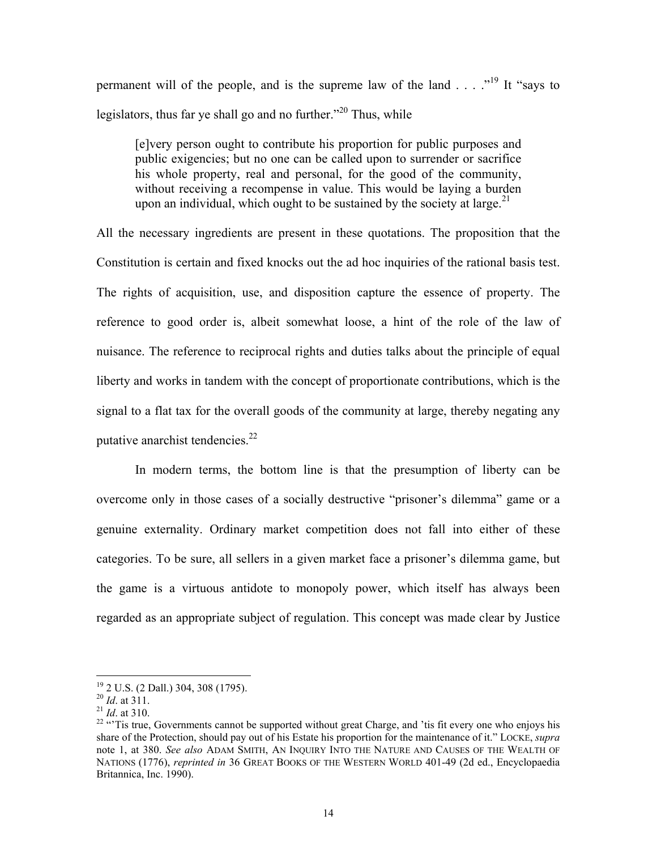permanent will of the people, and is the supreme law of the land  $\ldots$   $\mathbb{R}^{19}$  It "says to legislators, thus far ye shall go and no further.<sup> $20$ </sup> Thus, while

[e]very person ought to contribute his proportion for public purposes and public exigencies; but no one can be called upon to surrender or sacrifice his whole property, real and personal, for the good of the community, without receiving a recompense in value. This would be laying a burden upon an individual, which ought to be sustained by the society at large.<sup>[21](#page-15-2)</sup>

All the necessary ingredients are present in these quotations. The proposition that the Constitution is certain and fixed knocks out the ad hoc inquiries of the rational basis test. The rights of acquisition, use, and disposition capture the essence of property. The reference to good order is, albeit somewhat loose, a hint of the role of the law of nuisance. The reference to reciprocal rights and duties talks about the principle of equal liberty and works in tandem with the concept of proportionate contributions, which is the signal to a flat tax for the overall goods of the community at large, thereby negating any putative anarchist tendencies.<sup>22</sup>

In modern terms, the bottom line is that the presumption of liberty can be overcome only in those cases of a socially destructive "prisoner's dilemma" game or a genuine externality. Ordinary market competition does not fall into either of these categories. To be sure, all sellers in a given market face a prisoner's dilemma game, but the game is a virtuous antidote to monopoly power, which itself has always been regarded as an appropriate subject of regulation. This concept was made clear by Justice

<span id="page-15-0"></span><sup>&</sup>lt;sup>19</sup> 2 U.S. (2 Dall.) 304, 308 (1795).

<span id="page-15-1"></span>

<span id="page-15-3"></span><span id="page-15-2"></span>

<sup>&</sup>lt;sup>20</sup> *Id.* at 311.<br><sup>21</sup> *Id.* at 310.<br><sup>22</sup> "Tis true, Governments cannot be supported without great Charge, and 'tis fit every one who enjoys his share of the Protection, should pay out of his Estate his proportion for the maintenance of it." LOCKE, *supra*  note 1, at 380. *See also* ADAM SMITH, AN INQUIRY INTO THE NATURE AND CAUSES OF THE WEALTH OF NATIONS (1776), *reprinted in* 36 GREAT BOOKS OF THE WESTERN WORLD 401-49 (2d ed., Encyclopaedia Britannica, Inc. 1990).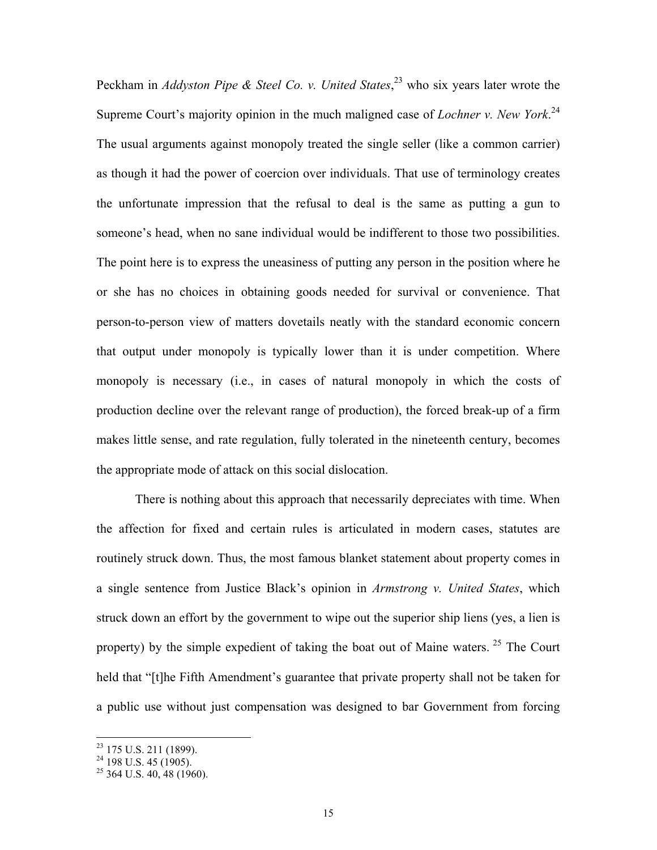Peckham in *Addyston Pipe & Steel Co. v. United States*, [23](#page-16-0) who six years later wrote the Supreme Court's majority opinion in the much maligned case of *Lochner v. New York*. [24](#page-16-1) The usual arguments against monopoly treated the single seller (like a common carrier) as though it had the power of coercion over individuals. That use of terminology creates the unfortunate impression that the refusal to deal is the same as putting a gun to someone's head, when no sane individual would be indifferent to those two possibilities. The point here is to express the uneasiness of putting any person in the position where he or she has no choices in obtaining goods needed for survival or convenience. That person-to-person view of matters dovetails neatly with the standard economic concern that output under monopoly is typically lower than it is under competition. Where monopoly is necessary (i.e., in cases of natural monopoly in which the costs of production decline over the relevant range of production), the forced break-up of a firm makes little sense, and rate regulation, fully tolerated in the nineteenth century, becomes the appropriate mode of attack on this social dislocation.

There is nothing about this approach that necessarily depreciates with time. When the affection for fixed and certain rules is articulated in modern cases, statutes are routinely struck down. Thus, the most famous blanket statement about property comes in a single sentence from Justice Black's opinion in *Armstrong v. United States*, which struck down an effort by the government to wipe out the superior ship liens (yes, a lien is property) by the simple expedient of taking the boat out of Maine waters. <sup>25</sup> The Court held that "[t]he Fifth Amendment's guarantee that private property shall not be taken for a public use without just compensation was designed to bar Government from forcing

<span id="page-16-0"></span> $23$  175 U.S. 211 (1899).

<span id="page-16-1"></span> $24$  198 U.S. 45 (1905).

<span id="page-16-2"></span> $25$  364 U.S. 40, 48 (1960).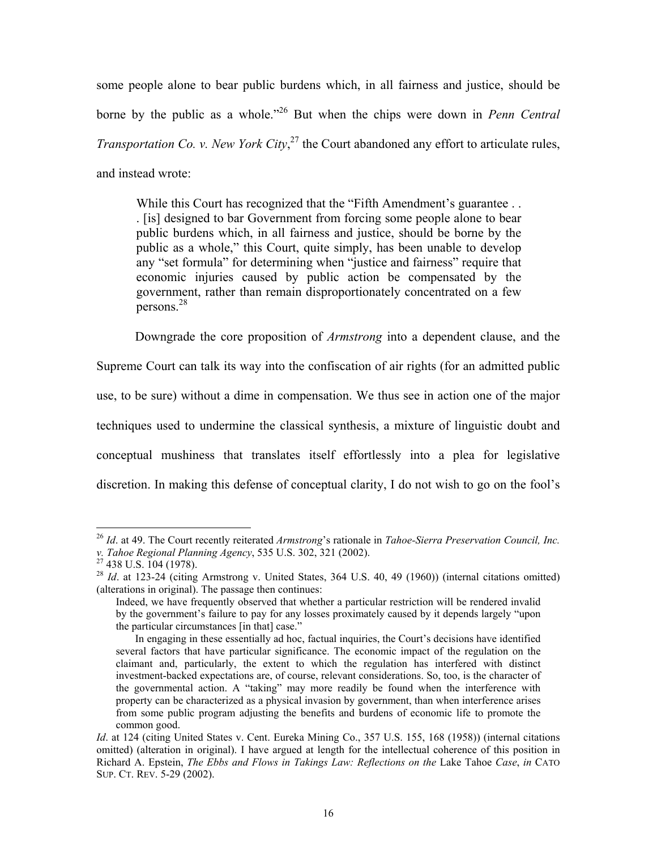some people alone to bear public burdens which, in all fairness and justice, should be borne by the public as a whole.["26](#page-17-0) But when the chips were down in *Penn Central Transportation Co. v. New York City*, [27 t](#page-17-1)he Court abandoned any effort to articulate rules, and instead wrote:

While this Court has recognized that the "Fifth Amendment's guarantee . . . [is] designed to bar Government from forcing some people alone to bear public burdens which, in all fairness and justice, should be borne by the public as a whole," this Court, quite simply, has been unable to develop any "set formula" for determining when "justice and fairness" require that economic injuries caused by public action be compensated by the government, rather than remain disproportionately concentrated on a few persons.[28](#page-17-2)

Downgrade the core proposition of *Armstrong* into a dependent clause, and the

Supreme Court can talk its way into the confiscation of air rights (for an admitted public use, to be sure) without a dime in compensation. We thus see in action one of the major techniques used to undermine the classical synthesis, a mixture of linguistic doubt and conceptual mushiness that translates itself effortlessly into a plea for legislative discretion. In making this defense of conceptual clarity, I do not wish to go on the fool's

<span id="page-17-0"></span><sup>26</sup> *Id*. at 49. The Court recently reiterated *Armstrong*'s rationale in *Tahoe-Sierra Preservation Council, Inc. v. Tahoe Regional Planning Agency*, 535 U.S. 302, 321 (2002). <sup>27</sup> 438 U.S. 104 (1978).

<span id="page-17-1"></span>

<span id="page-17-2"></span><sup>&</sup>lt;sup>28</sup> *Id.* at 123-24 (citing Armstrong v. United States, 364 U.S. 40, 49 (1960)) (internal citations omitted) (alterations in original). The passage then continues:

Indeed, we have frequently observed that whether a particular restriction will be rendered invalid by the government's failure to pay for any losses proximately caused by it depends largely "upon the particular circumstances [in that] case."

In engaging in these essentially ad hoc, factual inquiries, the Court's decisions have identified several factors that have particular significance. The economic impact of the regulation on the claimant and, particularly, the extent to which the regulation has interfered with distinct investment-backed expectations are, of course, relevant considerations. So, too, is the character of the governmental action. A "taking" may more readily be found when the interference with property can be characterized as a physical invasion by government, than when interference arises from some public program adjusting the benefits and burdens of economic life to promote the common good.

Id. at 124 (citing United States v. Cent. Eureka Mining Co., 357 U.S. 155, 168 (1958)) (internal citations omitted) (alteration in original). I have argued at length for the intellectual coherence of this position in Richard A. Epstein, *The Ebbs and Flows in Takings Law: Reflections on the* Lake Tahoe *Case*, *in* CATO SUP. CT. REV. 5-29 (2002).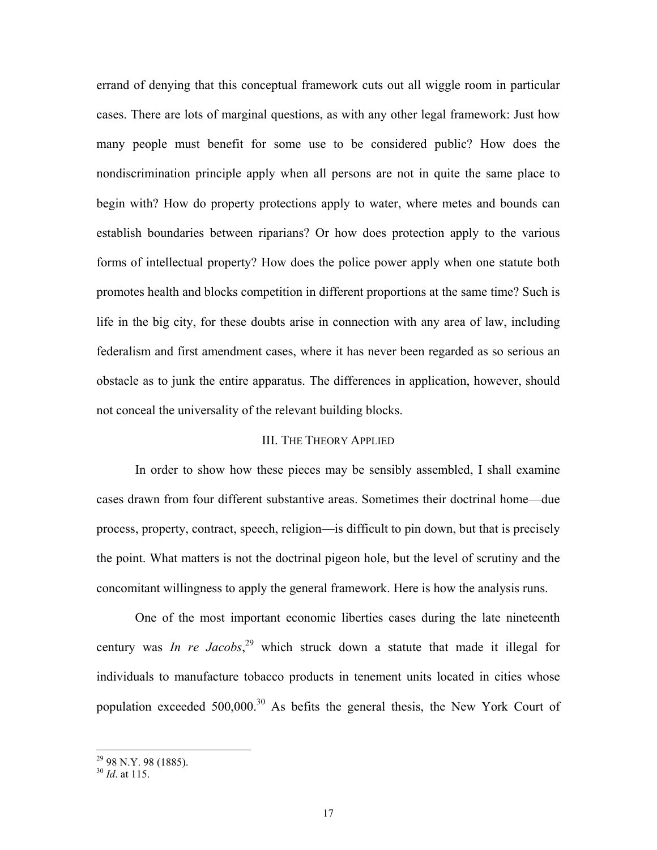errand of denying that this conceptual framework cuts out all wiggle room in particular cases. There are lots of marginal questions, as with any other legal framework: Just how many people must benefit for some use to be considered public? How does the nondiscrimination principle apply when all persons are not in quite the same place to begin with? How do property protections apply to water, where metes and bounds can establish boundaries between riparians? Or how does protection apply to the various forms of intellectual property? How does the police power apply when one statute both promotes health and blocks competition in different proportions at the same time? Such is life in the big city, for these doubts arise in connection with any area of law, including federalism and first amendment cases, where it has never been regarded as so serious an obstacle as to junk the entire apparatus. The differences in application, however, should not conceal the universality of the relevant building blocks.

#### III. THE THEORY APPLIED

In order to show how these pieces may be sensibly assembled, I shall examine cases drawn from four different substantive areas. Sometimes their doctrinal home—due process, property, contract, speech, religion—is difficult to pin down, but that is precisely the point. What matters is not the doctrinal pigeon hole, but the level of scrutiny and the concomitant willingness to apply the general framework. Here is how the analysis runs.

One of the most important economic liberties cases during the late nineteenth century was *In re Jacobs*, [29](#page-18-0) which struck down a statute that made it illegal for individuals to manufacture tobacco products in tenement units located in cities whose population exceeded  $500,000$ <sup>30</sup> As befits the general thesis, the New York Court of

1

<span id="page-18-0"></span><sup>&</sup>lt;sup>29</sup> 98 N.Y. 98 (1885).

<span id="page-18-1"></span><sup>30</sup> *Id*. at 115.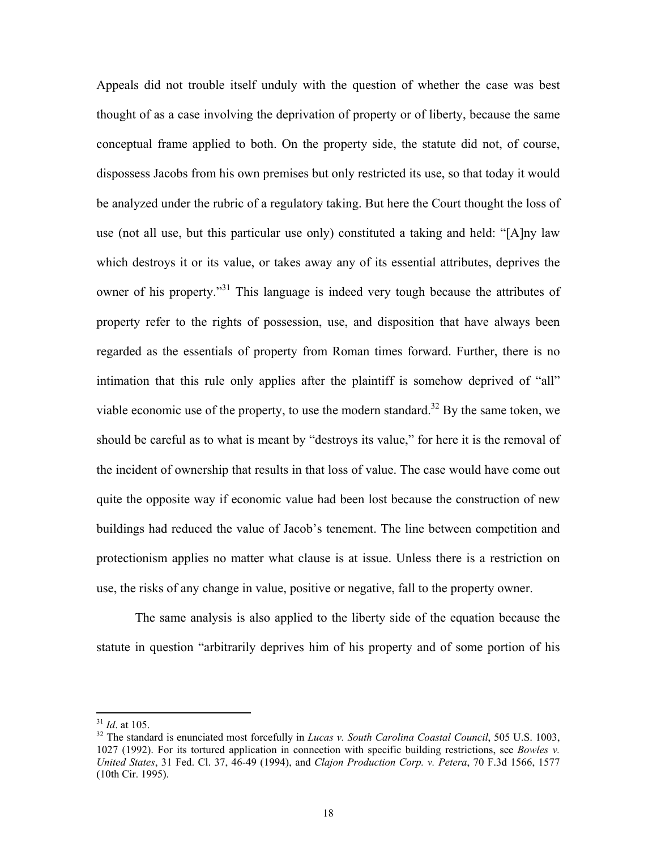Appeals did not trouble itself unduly with the question of whether the case was best thought of as a case involving the deprivation of property or of liberty, because the same conceptual frame applied to both. On the property side, the statute did not, of course, dispossess Jacobs from his own premises but only restricted its use, so that today it would be analyzed under the rubric of a regulatory taking. But here the Court thought the loss of use (not all use, but this particular use only) constituted a taking and held: "[A]ny law which destroys it or its value, or takes away any of its essential attributes, deprives the owner of his property."<sup>31</sup> This language is indeed very tough because the attributes of property refer to the rights of possession, use, and disposition that have always been regarded as the essentials of property from Roman times forward. Further, there is no intimation that this rule only applies after the plaintiff is somehow deprived of "all" viable economic use of the property, to use the modern standard.<sup>32</sup> By the same token, we should be careful as to what is meant by "destroys its value," for here it is the removal of the incident of ownership that results in that loss of value. The case would have come out quite the opposite way if economic value had been lost because the construction of new buildings had reduced the value of Jacob's tenement. The line between competition and protectionism applies no matter what clause is at issue. Unless there is a restriction on use, the risks of any change in value, positive or negative, fall to the property owner.

The same analysis is also applied to the liberty side of the equation because the statute in question "arbitrarily deprives him of his property and of some portion of his

<span id="page-19-1"></span><span id="page-19-0"></span>

<sup>&</sup>lt;sup>31</sup> *Id.* at 105.<br><sup>32</sup> The standard is enunciated most forcefully in *Lucas v. South Carolina Coastal Council*, 505 U.S. 1003, 1027 (1992). For its tortured application in connection with specific building restrictions, see *Bowles v. United States*, 31 Fed. Cl. 37, 46-49 (1994), and *Clajon Production Corp. v. Petera*, 70 F.3d 1566, 1577 (10th Cir. 1995).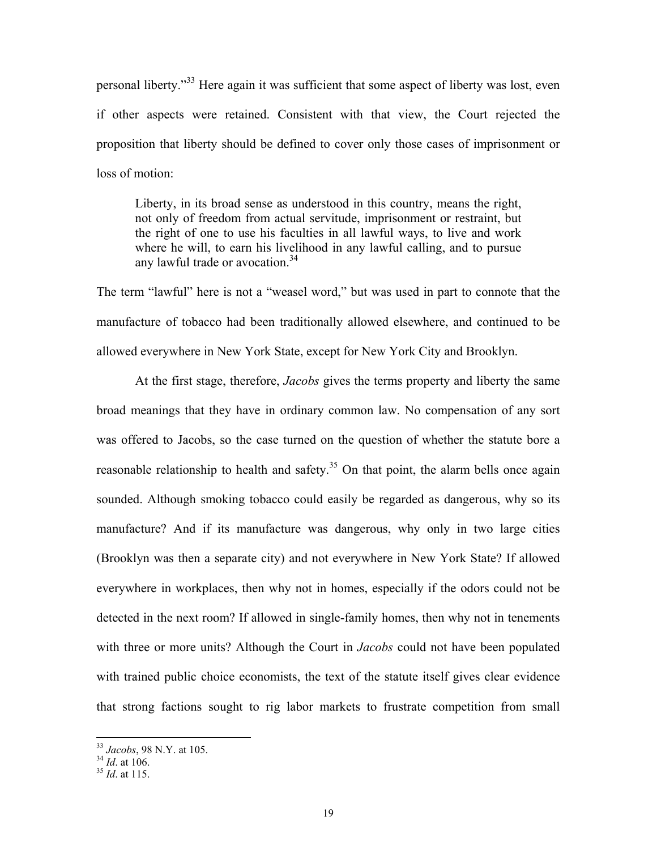personal liberty."[33](#page-20-0) Here again it was sufficient that some aspect of liberty was lost, even if other aspects were retained. Consistent with that view, the Court rejected the proposition that liberty should be defined to cover only those cases of imprisonment or loss of motion:

Liberty, in its broad sense as understood in this country, means the right, not only of freedom from actual servitude, imprisonment or restraint, but the right of one to use his faculties in all lawful ways, to live and work where he will, to earn his livelihood in any lawful calling, and to pursue any lawful trade or avocation.<sup>34</sup>

The term "lawful" here is not a "weasel word," but was used in part to connote that the manufacture of tobacco had been traditionally allowed elsewhere, and continued to be allowed everywhere in New York State, except for New York City and Brooklyn.

At the first stage, therefore, *Jacobs* gives the terms property and liberty the same broad meanings that they have in ordinary common law. No compensation of any sort was offered to Jacobs, so the case turned on the question of whether the statute bore a reasonable relationship to health and safety.<sup>35</sup> On that point, the alarm bells once again sounded. Although smoking tobacco could easily be regarded as dangerous, why so its manufacture? And if its manufacture was dangerous, why only in two large cities (Brooklyn was then a separate city) and not everywhere in New York State? If allowed everywhere in workplaces, then why not in homes, especially if the odors could not be detected in the next room? If allowed in single-family homes, then why not in tenements with three or more units? Although the Court in *Jacobs* could not have been populated with trained public choice economists, the text of the statute itself gives clear evidence that strong factions sought to rig labor markets to frustrate competition from small

<span id="page-20-0"></span><sup>33</sup> *Jacobs*, 98 N.Y. at 105. 34 *Id*. at 106. 35 *Id*. at 115.

<span id="page-20-1"></span>

<span id="page-20-2"></span>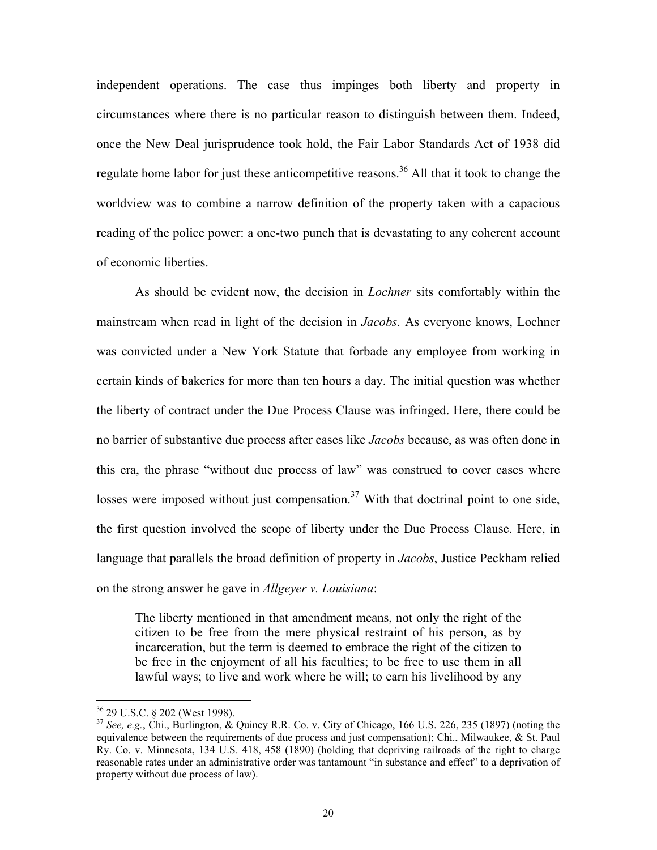independent operations. The case thus impinges both liberty and property in circumstances where there is no particular reason to distinguish between them. Indeed, once the New Deal jurisprudence took hold, the Fair Labor Standards Act of 1938 did regulate home labor for just these anticompetitive reasons.<sup>36</sup> All that it took to change the worldview was to combine a narrow definition of the property taken with a capacious reading of the police power: a one-two punch that is devastating to any coherent account of economic liberties.

As should be evident now, the decision in *Lochner* sits comfortably within the mainstream when read in light of the decision in *Jacobs*. As everyone knows, Lochner was convicted under a New York Statute that forbade any employee from working in certain kinds of bakeries for more than ten hours a day. The initial question was whether the liberty of contract under the Due Process Clause was infringed. Here, there could be no barrier of substantive due process after cases like *Jacobs* because, as was often done in this era, the phrase "without due process of law" was construed to cover cases where losses were imposed without just compensation.<sup>37</sup> With that doctrinal point to one side, the first question involved the scope of liberty under the Due Process Clause. Here, in language that parallels the broad definition of property in *Jacobs*, Justice Peckham relied on the strong answer he gave in *Allgeyer v. Louisiana*:

The liberty mentioned in that amendment means, not only the right of the citizen to be free from the mere physical restraint of his person, as by incarceration, but the term is deemed to embrace the right of the citizen to be free in the enjoyment of all his faculties; to be free to use them in all lawful ways; to live and work where he will; to earn his livelihood by any

<span id="page-21-1"></span><span id="page-21-0"></span>

<sup>36 29</sup> U.S.C. § 202 (West 1998). 37 *See, e.g.*, Chi., Burlington, & Quincy R.R. Co. v. City of Chicago, 166 U.S. 226, 235 (1897) (noting the equivalence between the requirements of due process and just compensation); Chi., Milwaukee, & St. Paul Ry. Co. v. Minnesota, 134 U.S. 418, 458 (1890) (holding that depriving railroads of the right to charge reasonable rates under an administrative order was tantamount "in substance and effect" to a deprivation of property without due process of law).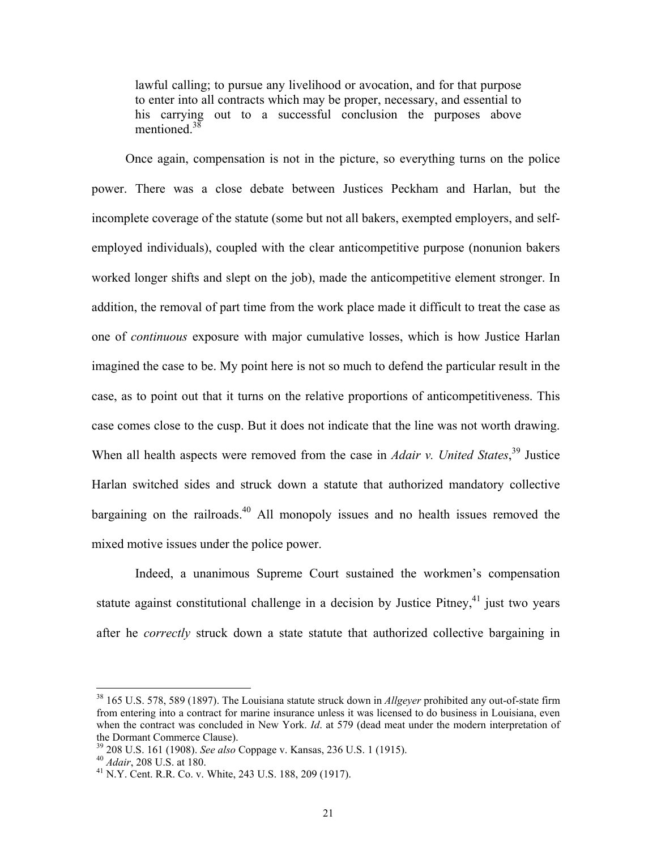lawful calling; to pursue any livelihood or avocation, and for that purpose to enter into all contracts which may be proper, necessary, and essential to his carrying out to a successful conclusion the purposes above mentioned.<sup>[38](#page-22-0)</sup>

Once again, compensation is not in the picture, so everything turns on the police power. There was a close debate between Justices Peckham and Harlan, but the incomplete coverage of the statute (some but not all bakers, exempted employers, and selfemployed individuals), coupled with the clear anticompetitive purpose (nonunion bakers worked longer shifts and slept on the job), made the anticompetitive element stronger. In addition, the removal of part time from the work place made it difficult to treat the case as one of *continuous* exposure with major cumulative losses, which is how Justice Harlan imagined the case to be. My point here is not so much to defend the particular result in the case, as to point out that it turns on the relative proportions of anticompetitiveness. This case comes close to the cusp. But it does not indicate that the line was not worth drawing. When all health aspects were removed from the case in *Adair v. United States*,<sup>39</sup> Justice Harlan switched sides and struck down a statute that authorized mandatory collective bargaining on the railroads.<sup>40</sup> All monopoly issues and no health issues removed the mixed motive issues under the police power.

Indeed, a unanimous Supreme Court sustained the workmen's compensation statute against constitutional challenge in a decision by Justice Pitney,  $41$  just two years after he *correctly* struck down a state statute that authorized collective bargaining in

<span id="page-22-0"></span><sup>38</sup> 165 U.S. 578, 589 (1897). The Louisiana statute struck down in *Allgeyer* prohibited any out-of-state firm from entering into a contract for marine insurance unless it was licensed to do business in Louisiana, even when the contract was concluded in New York. *Id*. at 579 (dead meat under the modern interpretation of the Dormant Commerce Clause).<br><sup>39</sup> 208 U.S. 161 (1908). *See also* Coppage v. Kansas, 236 U.S. 1 (1915).<br><sup>40</sup> *Adair*, 208 U.S. at 180.<br><sup>41</sup> N.Y. Cent. R.R. Co. v. White, 243 U.S. 188, 209 (1917).

<span id="page-22-1"></span>

<span id="page-22-2"></span>

<span id="page-22-3"></span>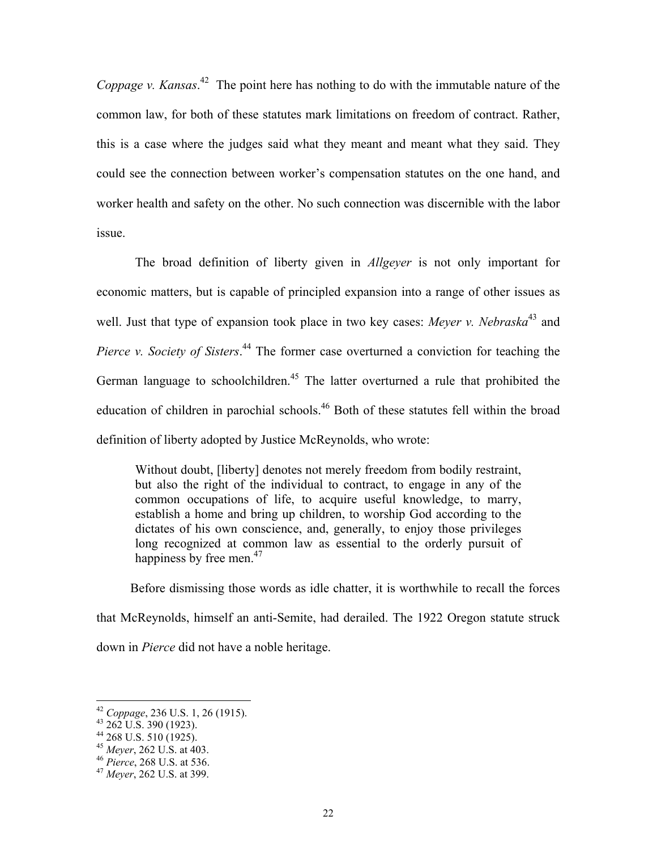*Coppage v. Kansas*. [42](#page-23-0) The point here has nothing to do with the immutable nature of the common law, for both of these statutes mark limitations on freedom of contract. Rather, this is a case where the judges said what they meant and meant what they said. They could see the connection between worker's compensation statutes on the one hand, and worker health and safety on the other. No such connection was discernible with the labor issue.

The broad definition of liberty given in *Allgeyer* is not only important for economic matters, but is capable of principled expansion into a range of other issues as well. Just that type of expansion took place in two key cases: *Meyer v. Nebraska*<sup>43</sup> and *Pierce v. Society of Sisters*. [44](#page-23-2) The former case overturned a conviction for teaching the German language to schoolchildren.<sup>45</sup> The latter overturned a rule that prohibited the education of children in parochial schools.<sup>46</sup> Both of these statutes fell within the broad definition of liberty adopted by Justice McReynolds, who wrote:

Without doubt, [liberty] denotes not merely freedom from bodily restraint, but also the right of the individual to contract, to engage in any of the common occupations of life, to acquire useful knowledge, to marry, establish a home and bring up children, to worship God according to the dictates of his own conscience, and, generally, to enjoy those privileges long recognized at common law as essential to the orderly pursuit of happiness by free men.<sup>47</sup>

Before dismissing those words as idle chatter, it is worthwhile to recall the forces that McReynolds, himself an anti-Semite, had derailed. The 1922 Oregon statute struck down in *Pierce* did not have a noble heritage.

<span id="page-23-0"></span><sup>42</sup> *Coppage*, 236 U.S. 1, 26 (1915). 43 262 U.S. 390 (1923).

<span id="page-23-1"></span>

<span id="page-23-2"></span><sup>&</sup>lt;sup>44</sup> 268 U.S. 510 (1925).<br><sup>45</sup> Meyer, 262 U.S. at 403.

<span id="page-23-3"></span>

<span id="page-23-4"></span><sup>&</sup>lt;sup>46</sup> *Pierce*, 268 U.S. at 536. 47 *Meyer*, 262 U.S. at 399.

<span id="page-23-5"></span>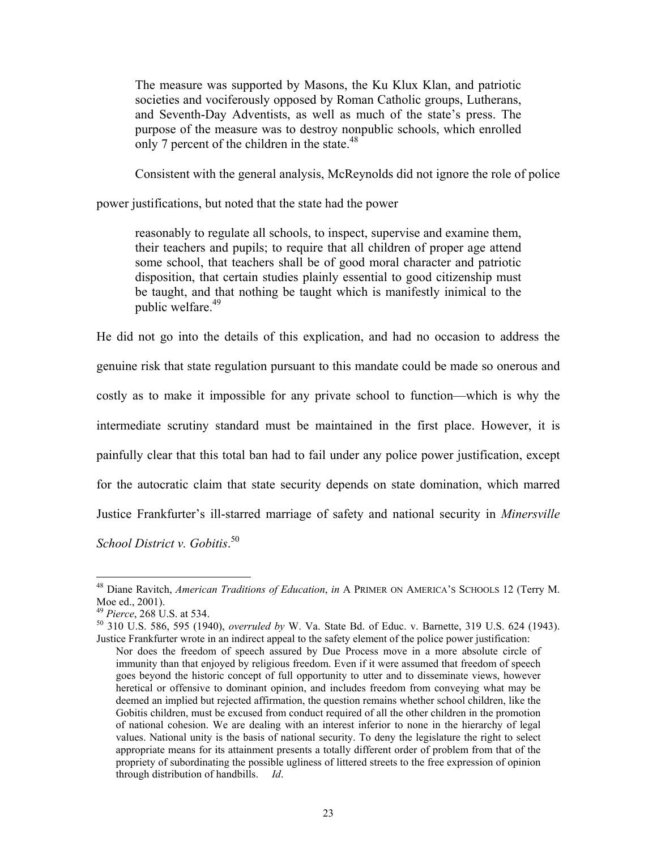The measure was supported by Masons, the Ku Klux Klan, and patriotic societies and vociferously opposed by Roman Catholic groups, Lutherans, and Seventh-Day Adventists, as well as much of the state's press. The purpose of the measure was to destroy nonpublic schools, which enrolled only 7 percent of the children in the state. $48$ 

Consistent with the general analysis, McReynolds did not ignore the role of police

power justifications, but noted that the state had the power

reasonably to regulate all schools, to inspect, supervise and examine them, their teachers and pupils; to require that all children of proper age attend some school, that teachers shall be of good moral character and patriotic disposition, that certain studies plainly essential to good citizenship must be taught, and that nothing be taught which is manifestly inimical to the public welfare.<sup>49</sup>

He did not go into the details of this explication, and had no occasion to address the genuine risk that state regulation pursuant to this mandate could be made so onerous and costly as to make it impossible for any private school to function—which is why the intermediate scrutiny standard must be maintained in the first place. However, it is painfully clear that this total ban had to fail under any police power justification, except for the autocratic claim that state security depends on state domination, which marred Justice Frankfurter's ill-starred marriage of safety and national security in *Minersville School District v. Gobitis*. [50](#page-24-2) 

 $\overline{a}$ 

<sup>49</sup> *Pierce*, 268 U.S. at 534. 50 *py 91 Pierce*, 268 U.S. at 534. 50 310 U.S. 586, 595 (1940), *overruled by* W. Va. State Bd. of Educ. v. Barnette, 319 U.S. 624 (1943). Justice Frankfurter wrote in an indirect appeal to the safety element of the police power justification:

<span id="page-24-0"></span><sup>&</sup>lt;sup>48</sup> Diane Ravitch, *American Traditions of Education*, *in* A PRIMER ON AMERICA'S SCHOOLS 12 (Terry M. Moe ed., 2001).

<span id="page-24-2"></span><span id="page-24-1"></span>

Nor does the freedom of speech assured by Due Process move in a more absolute circle of immunity than that enjoyed by religious freedom. Even if it were assumed that freedom of speech goes beyond the historic concept of full opportunity to utter and to disseminate views, however heretical or offensive to dominant opinion, and includes freedom from conveying what may be deemed an implied but rejected affirmation, the question remains whether school children, like the Gobitis children, must be excused from conduct required of all the other children in the promotion of national cohesion. We are dealing with an interest inferior to none in the hierarchy of legal values. National unity is the basis of national security. To deny the legislature the right to select appropriate means for its attainment presents a totally different order of problem from that of the propriety of subordinating the possible ugliness of littered streets to the free expression of opinion through distribution of handbills. *Id*.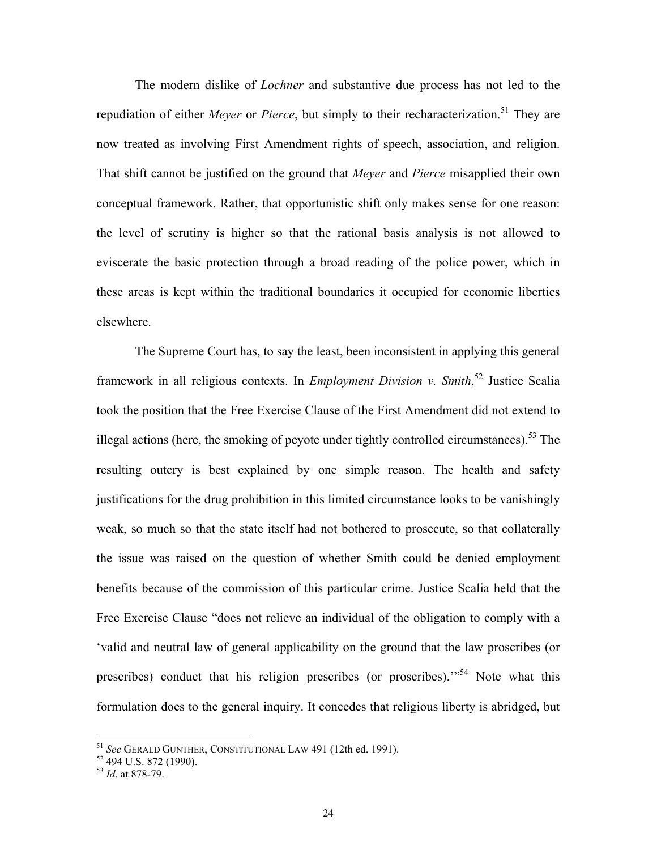The modern dislike of *Lochner* and substantive due process has not led to the repudiation of either *Meyer* or *Pierce*, but simply to their recharacterization.<sup>51</sup> They are now treated as involving First Amendment rights of speech, association, and religion. That shift cannot be justified on the ground that *Meyer* and *Pierce* misapplied their own conceptual framework. Rather, that opportunistic shift only makes sense for one reason: the level of scrutiny is higher so that the rational basis analysis is not allowed to eviscerate the basic protection through a broad reading of the police power, which in these areas is kept within the traditional boundaries it occupied for economic liberties elsewhere.

The Supreme Court has, to say the least, been inconsistent in applying this general framework in all religious contexts. In *Employment Division v. Smith*, [52](#page-25-1) Justice Scalia took the position that the Free Exercise Clause of the First Amendment did not extend to illegal actions (here, the smoking of peyote under tightly controlled circumstances).<sup>53</sup> The resulting outcry is best explained by one simple reason. The health and safety justifications for the drug prohibition in this limited circumstance looks to be vanishingly weak, so much so that the state itself had not bothered to prosecute, so that collaterally the issue was raised on the question of whether Smith could be denied employment benefits because of the commission of this particular crime. Justice Scalia held that the Free Exercise Clause "does not relieve an individual of the obligation to comply with a 'valid and neutral law of general applicability on the ground that the law proscribes (or prescribes) conduct that his religion prescribes (or proscribes).<sup>554</sup> Note what this formulation does to the general inquiry. It concedes that religious liberty is abridged, but

<span id="page-25-3"></span><span id="page-25-0"></span><sup>&</sup>lt;sup>51</sup> *See* Gerald Gunther, Constitutional Law 491 (12th ed. 1991).<br><sup>52</sup> 494 U.S. 872 (1990).

<span id="page-25-1"></span>

<span id="page-25-2"></span><sup>53</sup> *Id*. at 878-79.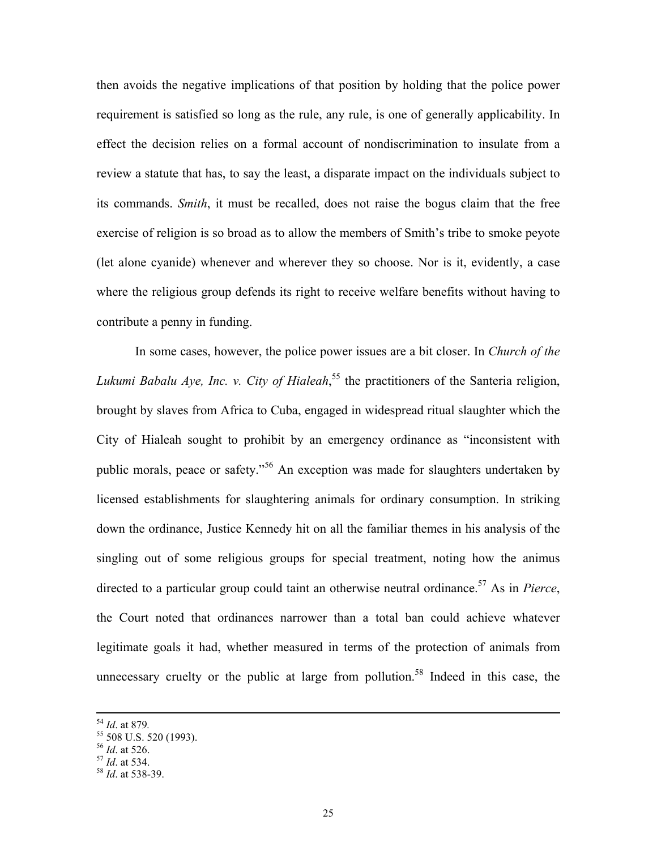then avoids the negative implications of that position by holding that the police power requirement is satisfied so long as the rule, any rule, is one of generally applicability. In effect the decision relies on a formal account of nondiscrimination to insulate from a review a statute that has, to say the least, a disparate impact on the individuals subject to its commands. *Smith*, it must be recalled, does not raise the bogus claim that the free exercise of religion is so broad as to allow the members of Smith's tribe to smoke peyote (let alone cyanide) whenever and wherever they so choose. Nor is it, evidently, a case where the religious group defends its right to receive welfare benefits without having to contribute a penny in funding.

In some cases, however, the police power issues are a bit closer. In *Church of the Lukumi Babalu Aye, Inc. v. City of Hialeah*, [55](#page-26-0) the practitioners of the Santeria religion, brought by slaves from Africa to Cuba, engaged in widespread ritual slaughter which the City of Hialeah sought to prohibit by an emergency ordinance as "inconsistent with public morals, peace or safety."[56](#page-26-1) An exception was made for slaughters undertaken by licensed establishments for slaughtering animals for ordinary consumption. In striking down the ordinance, Justice Kennedy hit on all the familiar themes in his analysis of the singling out of some religious groups for special treatment, noting how the animus directed to a particular group could taint an otherwise neutral ordinance.<sup>57</sup> As in *Pierce*, the Court noted that ordinances narrower than a total ban could achieve whatever legitimate goals it had, whether measured in terms of the protection of animals from unnecessary cruelty or the public at large from pollution.<sup>58</sup> Indeed in this case, the

<span id="page-26-1"></span>

<span id="page-26-0"></span>

<sup>&</sup>lt;sup>54</sup> *Id.* at 879.<br><sup>55</sup> 508 U.S. 520 (1993).<br><sup>56</sup> *Id.* at 526.

<span id="page-26-2"></span><sup>56</sup> *Id*. at 526. 57 *Id*. at 534. 58 *Id*. at 538-39.

<span id="page-26-3"></span>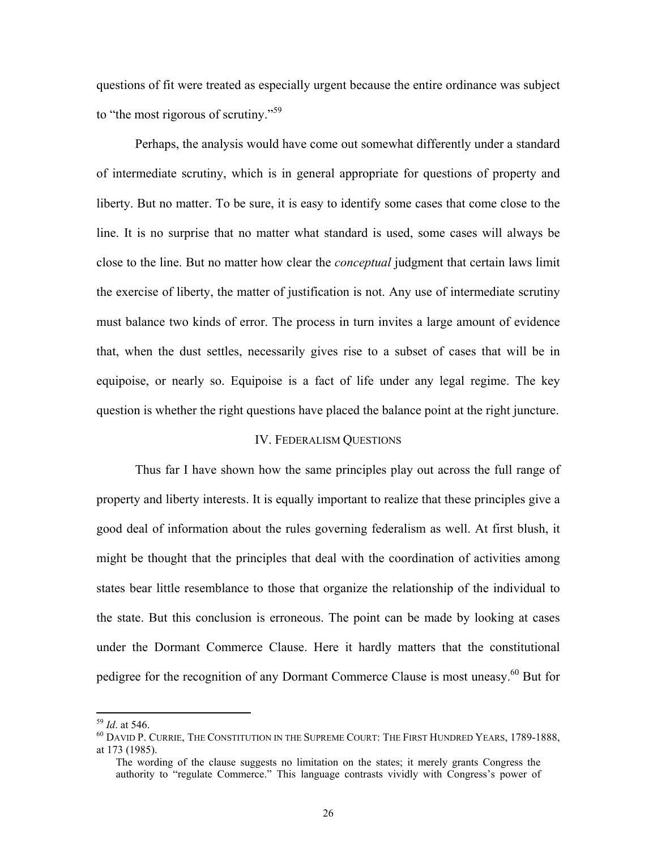<span id="page-27-1"></span>questions of fit were treated as especially urgent because the entire ordinance was subject to "the most rigorous of scrutiny."[59](#page-27-0) 

Perhaps, the analysis would have come out somewhat differently under a standard of intermediate scrutiny, which is in general appropriate for questions of property and liberty. But no matter. To be sure, it is easy to identify some cases that come close to the line. It is no surprise that no matter what standard is used, some cases will always be close to the line. But no matter how clear the *conceptual* judgment that certain laws limit the exercise of liberty, the matter of justification is not. Any use of intermediate scrutiny must balance two kinds of error. The process in turn invites a large amount of evidence that, when the dust settles, necessarily gives rise to a subset of cases that will be in equipoise, or nearly so. Equipoise is a fact of life under any legal regime. The key question is whether the right questions have placed the balance point at the right juncture.

#### IV. FEDERALISM QUESTIONS

Thus far I have shown how the same principles play out across the full range of property and liberty interests. It is equally important to realize that these principles give a good deal of information about the rules governing federalism as well. At first blush, it might be thought that the principles that deal with the coordination of activities among states bear little resemblance to those that organize the relationship of the individual to the state. But this conclusion is erroneous. The point can be made by looking at cases under the Dormant Commerce Clause. Here it hardly matters that the constitutional pedigree for the recognition of any Dormant Commerce Clause is most uneasy.<sup>60</sup> But for

1

<span id="page-27-0"></span>

<sup>&</sup>lt;sup>59</sup> *Id.* at 546.<br><sup>60</sup> David P. Currie, The Constitution in the Supreme Court: The First Hundred Years, 1789-1888, at 173 (1985).

The wording of the clause suggests no limitation on the states; it merely grants Congress the authority to "regulate Commerce." This language contrasts vividly with Congress's power of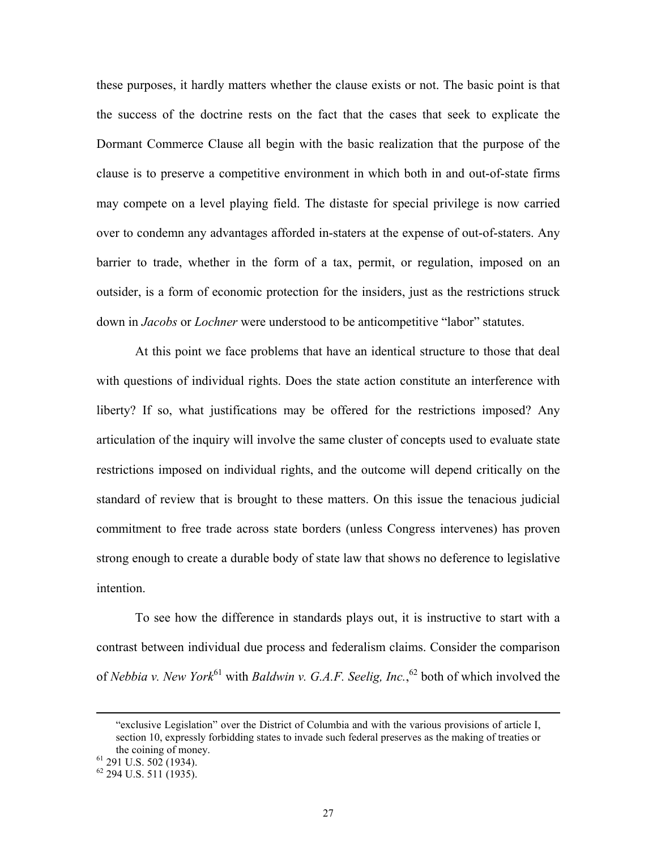these purposes, it hardly matters whether the clause exists or not. The basic point is that the success of the doctrine rests on the fact that the cases that seek to explicate the Dormant Commerce Clause all begin with the basic realization that the purpose of the clause is to preserve a competitive environment in which both in and out-of-state firms may compete on a level playing field. The distaste for special privilege is now carried over to condemn any advantages afforded in-staters at the expense of out-of-staters. Any barrier to trade, whether in the form of a tax, permit, or regulation, imposed on an outsider, is a form of economic protection for the insiders, just as the restrictions struck down in *Jacobs* or *Lochner* were understood to be anticompetitive "labor" statutes.

At this point we face problems that have an identical structure to those that deal with questions of individual rights. Does the state action constitute an interference with liberty? If so, what justifications may be offered for the restrictions imposed? Any articulation of the inquiry will involve the same cluster of concepts used to evaluate state restrictions imposed on individual rights, and the outcome will depend critically on the standard of review that is brought to these matters. On this issue the tenacious judicial commitment to free trade across state borders (unless Congress intervenes) has proven strong enough to create a durable body of state law that shows no deference to legislative intention.

To see how the difference in standards plays out, it is instructive to start with a contrast between individual due process and federalism claims. Consider the comparison of *Nebbia v. New York*<sup>61</sup> with *Baldwin v. G.A.F. Seelig, Inc.*,<sup>62</sup> both of which involved the

 <sup>&</sup>quot;exclusive Legislation" over the District of Columbia and with the various provisions of article I, section 10, expressly forbidding states to invade such federal preserves as the making of treaties or

<span id="page-28-0"></span>the coining of money.<br><sup>61</sup> 291 U.S. 502 (1934).

<span id="page-28-1"></span><sup>62 294</sup> U.S. 511 (1935).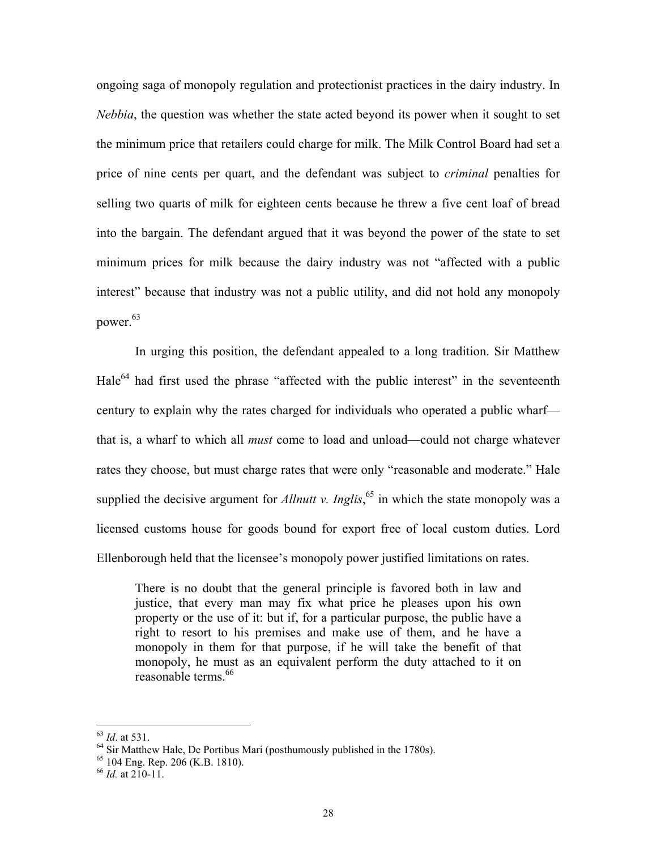ongoing saga of monopoly regulation and protectionist practices in the dairy industry. In *Nebbia*, the question was whether the state acted beyond its power when it sought to set the minimum price that retailers could charge for milk. The Milk Control Board had set a price of nine cents per quart, and the defendant was subject to *criminal* penalties for selling two quarts of milk for eighteen cents because he threw a five cent loaf of bread into the bargain. The defendant argued that it was beyond the power of the state to set minimum prices for milk because the dairy industry was not "affected with a public interest" because that industry was not a public utility, and did not hold any monopoly power. $63$ 

In urging this position, the defendant appealed to a long tradition. Sir Matthew Hale<sup>64</sup> had first used the phrase "affected with the public interest" in the seventeenth century to explain why the rates charged for individuals who operated a public wharf that is, a wharf to which all *must* come to load and unload—could not charge whatever rates they choose, but must charge rates that were only "reasonable and moderate." Hale supplied the decisive argument for *Allnutt v. Inglis*,<sup>65</sup> in which the state monopoly was a licensed customs house for goods bound for export free of local custom duties. Lord Ellenborough held that the licensee's monopoly power justified limitations on rates.

There is no doubt that the general principle is favored both in law and justice, that every man may fix what price he pleases upon his own property or the use of it: but if, for a particular purpose, the public have a right to resort to his premises and make use of them, and he have a monopoly in them for that purpose, if he will take the benefit of that monopoly, he must as an equivalent perform the duty attached to it on reasonable terms.<sup>66</sup>

<span id="page-29-1"></span><span id="page-29-0"></span>

<sup>&</sup>lt;sup>63</sup> *Id.* at 531. <br><sup>64</sup> Sir Matthew Hale, De Portibus Mari (posthumously published in the 1780s). <br><sup>65</sup> 104 Eng. Rep. 206 (K.B. 1810). <br><sup>66</sup> *Id.* at 210-11.

<span id="page-29-2"></span>

<span id="page-29-3"></span>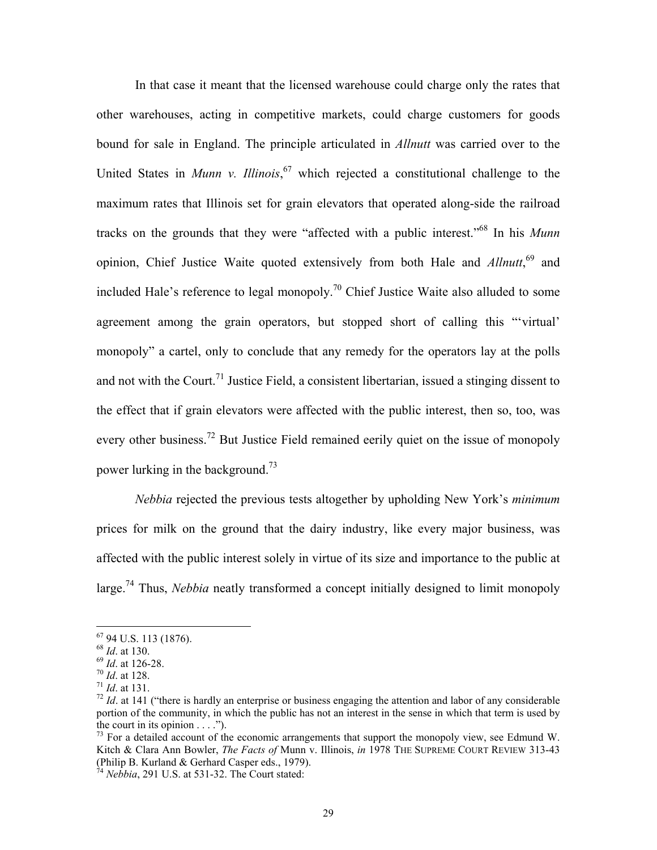<span id="page-30-7"></span>In that case it meant that the licensed warehouse could charge only the rates that other warehouses, acting in competitive markets, could charge customers for goods bound for sale in England. The principle articulated in *Allnutt* was carried over to the United States in *Munn v. Illinois*, [67](#page-30-0) which rejected a constitutional challenge to the maximum rates that Illinois set for grain elevators that operated along-side the railroad tracks on the grounds that they were "affected with a public interest."[68](#page-30-1) In his *Munn* opinion, Chief Justice Waite quoted extensively from both Hale and *Allnutt*, [69](#page-30-2) and included Hale's reference to legal monopoly.<sup>70</sup> Chief Justice Waite also alluded to some agreement among the grain operators, but stopped short of calling this "'virtual' monopoly" a cartel, only to conclude that any remedy for the operators lay at the polls and not with the Court.<sup>71</sup> Justice Field, a consistent libertarian, issued a stinging dissent to the effect that if grain elevators were affected with the public interest, then so, too, was every other business.<sup>72</sup> But Justice Field remained eerily quiet on the issue of monopoly power lurking in the background.<sup>[73](#page-30-6)</sup>

*Nebbia* rejected the previous tests altogether by upholding New York's *minimum* prices for milk on the ground that the dairy industry, like every major business, was affected with the public interest solely in virtue of its size and importance to the public at large.<sup>74</sup> Thus, *Nebbia* neatly transformed a concept initially designed to limit monopoly

<span id="page-30-0"></span><sup>67 94</sup> U.S. 113 (1876).

<span id="page-30-1"></span>

<span id="page-30-3"></span><span id="page-30-2"></span>

<span id="page-30-4"></span>

<span id="page-30-5"></span>

<sup>&</sup>lt;sup>68</sup> *Id.* at 130.<br><sup>69</sup> *Id.* at 126-28.<br><sup>70</sup> *Id.* at 128.<br><sup>71</sup> *Id.* at 131.<br><sup>72</sup> *Id.* at 141 ("there is hardly an enterprise or business engaging the attention and labor of any considerable portion of the community, in which the public has not an interest in the sense in which that term is used by the court in its opinion  $\dots$ .").<br><sup>73</sup> For a detailed account of the economic arrangements that support the monopoly view, see Edmund W.

<span id="page-30-6"></span>Kitch & Clara Ann Bowler, *The Facts of* Munn v. Illinois, *in* 1978 THE SUPREME COURT REVIEW 313-43 (Philip B. Kurland & Gerhard Casper eds., 1979).

<sup>74</sup> *Nebbia*, 291 U.S. at 531-32. The Court stated: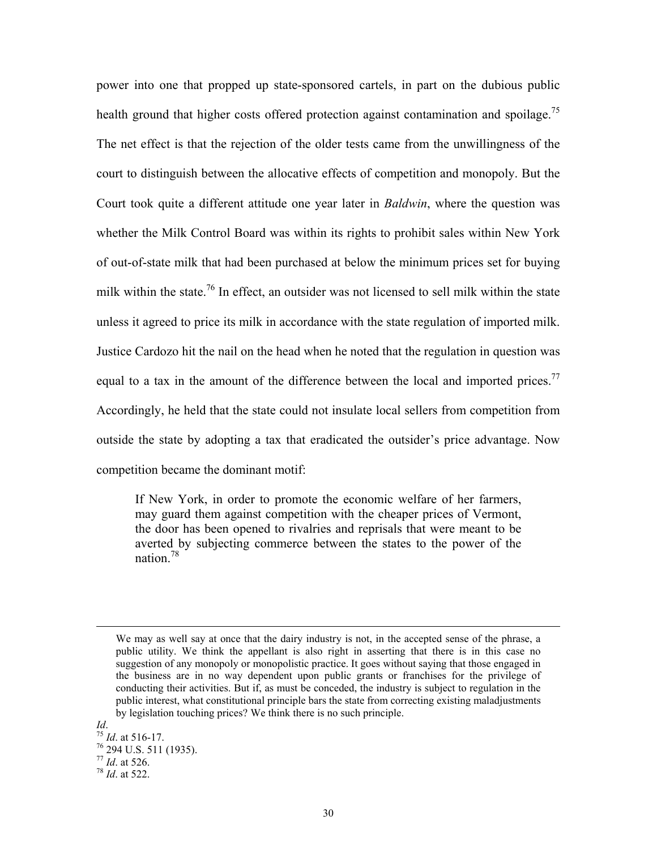power into one that propped up state-sponsored cartels, in part on the dubious public health ground that higher costs offered protection against contamination and spoilage.<sup>75</sup> The net effect is that the rejection of the older tests came from the unwillingness of the court to distinguish between the allocative effects of competition and monopoly. But the Court took quite a different attitude one year later in *Baldwin*, where the question was whether the Milk Control Board was within its rights to prohibit sales within New York of out-of-state milk that had been purchased at below the minimum prices set for buying milk within the state.<sup>76</sup> In effect, an outsider was not licensed to sell milk within the state unless it agreed to price its milk in accordance with the state regulation of imported milk. Justice Cardozo hit the nail on the head when he noted that the regulation in question was equal to a tax in the amount of the difference between the local and imported prices.<sup>77</sup> Accordingly, he held that the state could not insulate local sellers from competition from outside the state by adopting a tax that eradicated the outsider's price advantage. Now competition became the dominant motif:

If New York, in order to promote the economic welfare of her farmers, may guard them against competition with the cheaper prices of Vermont, the door has been opened to rivalries and reprisals that were meant to be averted by subjecting commerce between the states to the power of the nation<sup>78</sup>

We may as well say at once that the dairy industry is not, in the accepted sense of the phrase, a public utility. We think the appellant is also right in asserting that there is in this case no suggestion of any monopoly or monopolistic practice. It goes without saying that those engaged in the business are in no way dependent upon public grants or franchises for the privilege of conducting their activities. But if, as must be conceded, the industry is subject to regulation in the public interest, what constitutional principle bars the state from correcting existing maladjustments by legislation touching prices? We think there is no such principle.

<span id="page-31-3"></span><span id="page-31-2"></span><span id="page-31-1"></span><span id="page-31-0"></span>*Id.* <sup>75</sup> *Id.* at 516-17.<br><sup>76</sup> 294 U.S. 511 (1935).<br><sup>77</sup> *Id.* at 526. <sup>78</sup> *Id.* at 522.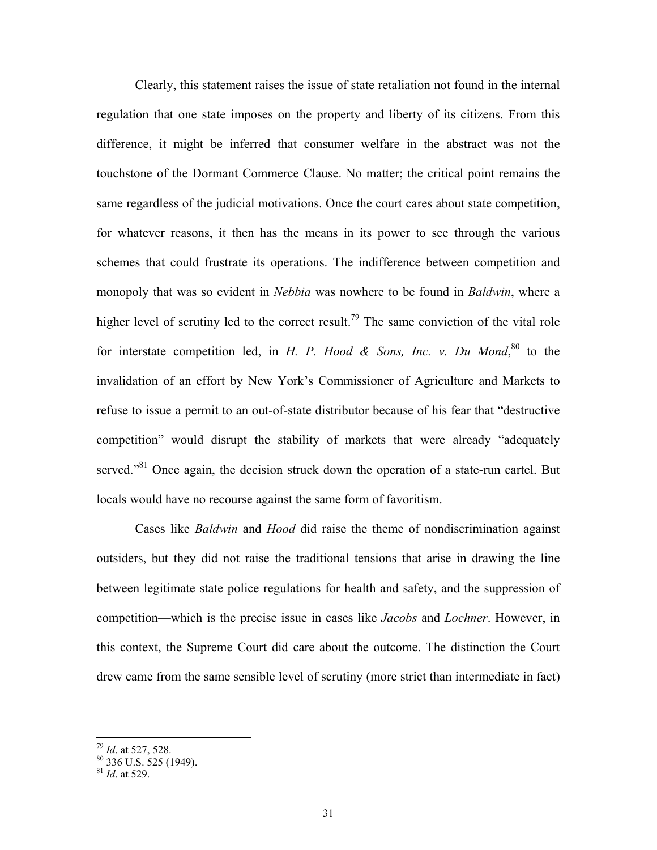Clearly, this statement raises the issue of state retaliation not found in the internal regulation that one state imposes on the property and liberty of its citizens. From this difference, it might be inferred that consumer welfare in the abstract was not the touchstone of the Dormant Commerce Clause. No matter; the critical point remains the same regardless of the judicial motivations. Once the court cares about state competition, for whatever reasons, it then has the means in its power to see through the various schemes that could frustrate its operations. The indifference between competition and monopoly that was so evident in *Nebbia* was nowhere to be found in *Baldwin*, where a higher level of scrutiny led to the correct result.<sup>79</sup> The same conviction of the vital role for interstate competition led, in *H. P. Hood & Sons, Inc. v. Du Mond*,  $80$  to the invalidation of an effort by New York's Commissioner of Agriculture and Markets to refuse to issue a permit to an out-of-state distributor because of his fear that "destructive competition" would disrupt the stability of markets that were already "adequately served."<sup>81</sup> Once again, the decision struck down the operation of a state-run cartel. But locals would have no recourse against the same form of favoritism.

Cases like *Baldwin* and *Hood* did raise the theme of nondiscrimination against outsiders, but they did not raise the traditional tensions that arise in drawing the line between legitimate state police regulations for health and safety, and the suppression of competition—which is the precise issue in cases like *Jacobs* and *Lochner*. However, in this context, the Supreme Court did care about the outcome. The distinction the Court drew came from the same sensible level of scrutiny (more strict than intermediate in fact)

<u>.</u>

<span id="page-32-1"></span><span id="page-32-0"></span>

<sup>&</sup>lt;sup>79</sup> *Id.* at 527, 528.<br><sup>80</sup> 336 U.S. 525 (1949).

<span id="page-32-2"></span><sup>81</sup> *Id*. at 529.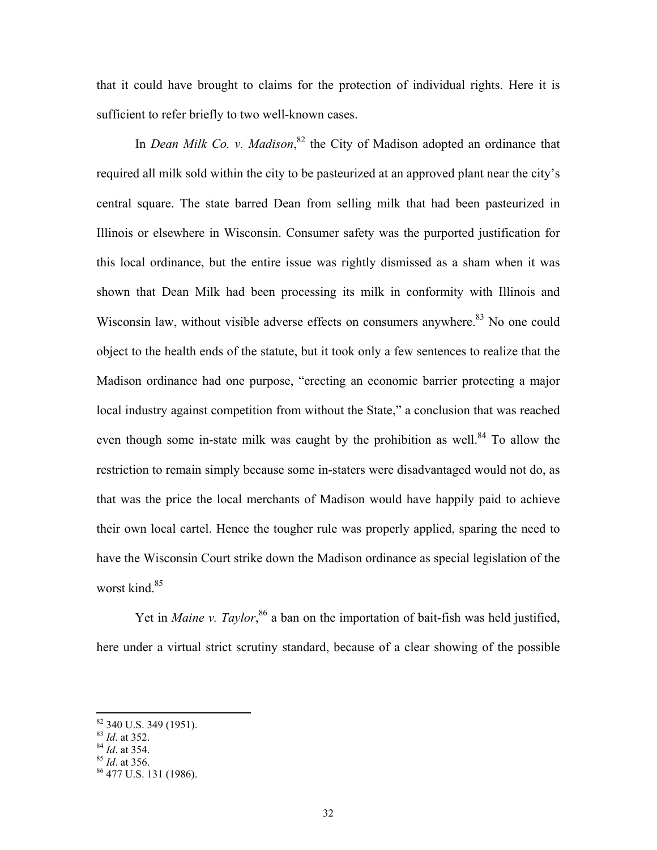that it could have brought to claims for the protection of individual rights. Here it is sufficient to refer briefly to two well-known cases.

In *Dean Milk Co. v. Madison*<sup>82</sup>, the City of Madison adopted an ordinance that required all milk sold within the city to be pasteurized at an approved plant near the city's central square. The state barred Dean from selling milk that had been pasteurized in Illinois or elsewhere in Wisconsin. Consumer safety was the purported justification for this local ordinance, but the entire issue was rightly dismissed as a sham when it was shown that Dean Milk had been processing its milk in conformity with Illinois and Wisconsin law, without visible adverse effects on consumers anywhere.<sup>83</sup> No one could object to the health ends of the statute, but it took only a few sentences to realize that the Madison ordinance had one purpose, "erecting an economic barrier protecting a major local industry against competition from without the State," a conclusion that was reached even though some in-state milk was caught by the prohibition as well.<sup>84</sup> To allow the restriction to remain simply because some in-staters were disadvantaged would not do, as that was the price the local merchants of Madison would have happily paid to achieve their own local cartel. Hence the tougher rule was properly applied, sparing the need to have the Wisconsin Court strike down the Madison ordinance as special legislation of the worst kind.<sup>85</sup>

Yet in *Maine v. Taylor*,<sup>86</sup> a ban on the importation of bait-fish was held justified, here under a virtual strict scrutiny standard, because of a clear showing of the possible

<span id="page-33-0"></span> $\frac{82}{83}$  340 U.S. 349 (1951).<br> $\frac{83}{64}$  at 352.

<span id="page-33-1"></span>

<span id="page-33-2"></span>

<span id="page-33-4"></span><span id="page-33-3"></span>

<sup>84</sup> *Id.* at 354.<br>
85 *Id.* at 356.<br>
86 477 U.S. 131 (1986).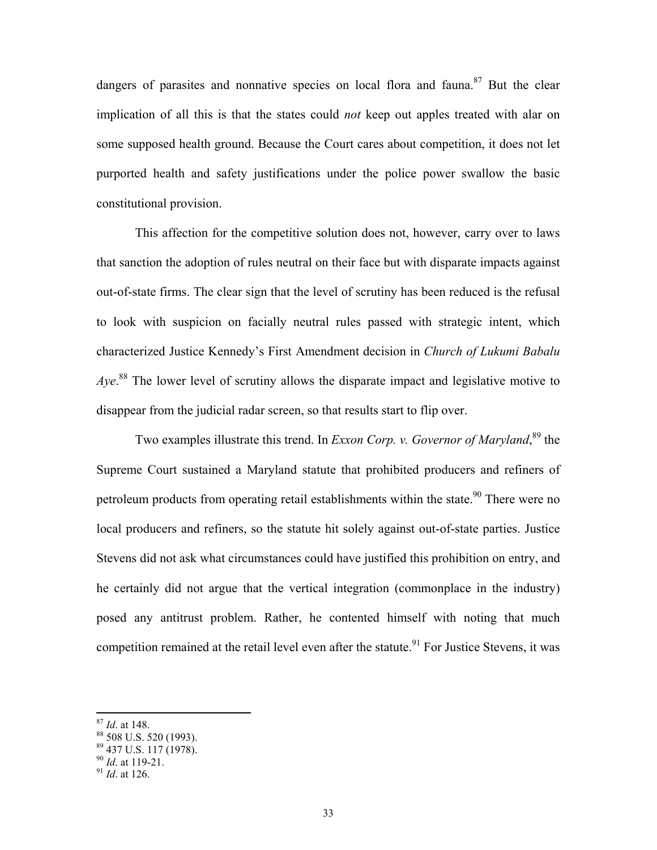dangers of parasites and nonnative species on local flora and fauna.<sup>87</sup> But the clear implication of all this is that the states could *not* keep out apples treated with alar on some supposed health ground. Because the Court cares about competition, it does not let purported health and safety justifications under the police power swallow the basic constitutional provision.

This affection for the competitive solution does not, however, carry over to laws that sanction the adoption of rules neutral on their face but with disparate impacts against out-of-state firms. The clear sign that the level of scrutiny has been reduced is the refusal to look with suspicion on facially neutral rules passed with strategic intent, which characterized Justice Kennedy's First Amendment decision in *Church of Lukumi Babalu*  Aye.<sup>88</sup> The lower level of scrutiny allows the disparate impact and legislative motive to disappear from the judicial radar screen, so that results start to flip over.

Two examples illustrate this trend. In *Exxon Corp. v. Governor of Maryland*,<sup>89</sup> the Supreme Court sustained a Maryland statute that prohibited producers and refiners of petroleum products from operating retail establishments within the state.<sup>90</sup> There were no local producers and refiners, so the statute hit solely against out-of-state parties. Justice Stevens did not ask what circumstances could have justified this prohibition on entry, and he certainly did not argue that the vertical integration (commonplace in the industry) posed any antitrust problem. Rather, he contented himself with noting that much competition remained at the retail level even after the statute.<sup>91</sup> For Justice Stevens, it was

<span id="page-34-1"></span><span id="page-34-0"></span>

 $^{87}$  *Id.* at 148.<br> $^{88}$  508 U.S. 520 (1993).

<span id="page-34-2"></span> $\frac{89}{90}$  437 U.S. 117 (1978).

<span id="page-34-3"></span>

<span id="page-34-4"></span><sup>&</sup>lt;sup>91</sup> *Id.* at 126.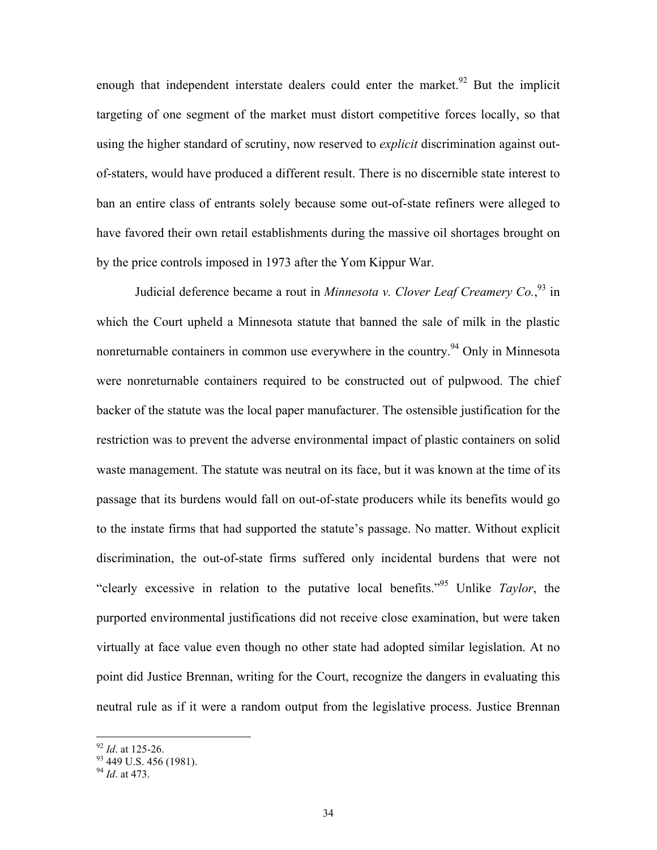enough that independent interstate dealers could enter the market.<sup>92</sup> But the implicit targeting of one segment of the market must distort competitive forces locally, so that using the higher standard of scrutiny, now reserved to *explicit* discrimination against outof-staters, would have produced a different result. There is no discernible state interest to ban an entire class of entrants solely because some out-of-state refiners were alleged to have favored their own retail establishments during the massive oil shortages brought on by the price controls imposed in 1973 after the Yom Kippur War.

Judicial deference became a rout in *Minnesota v. Clover Leaf Creamery Co.*, [93](#page-35-1) in which the Court upheld a Minnesota statute that banned the sale of milk in the plastic nonreturnable containers in common use everywhere in the country.<sup>94</sup> Only in Minnesota were nonreturnable containers required to be constructed out of pulpwood. The chief backer of the statute was the local paper manufacturer. The ostensible justification for the restriction was to prevent the adverse environmental impact of plastic containers on solid waste management. The statute was neutral on its face, but it was known at the time of its passage that its burdens would fall on out-of-state producers while its benefits would go to the instate firms that had supported the statute's passage. No matter. Without explicit discrimination, the out-of-state firms suffered only incidental burdens that were not "clearly excessive in relation to the putative local benefits.["95](#page-35-3) Unlike *Taylor*, the purported environmental justifications did not receive close examination, but were taken virtually at face value even though no other state had adopted similar legislation. At no point did Justice Brennan, writing for the Court, recognize the dangers in evaluating this neutral rule as if it were a random output from the legislative process. Justice Brennan

<span id="page-35-1"></span><span id="page-35-0"></span>

<span id="page-35-3"></span><sup>&</sup>lt;sup>92</sup> *Id*. at 125-26.<br><sup>93</sup> 449 U.S. 456 (1981).

<span id="page-35-2"></span><sup>94</sup> *Id*. at 473.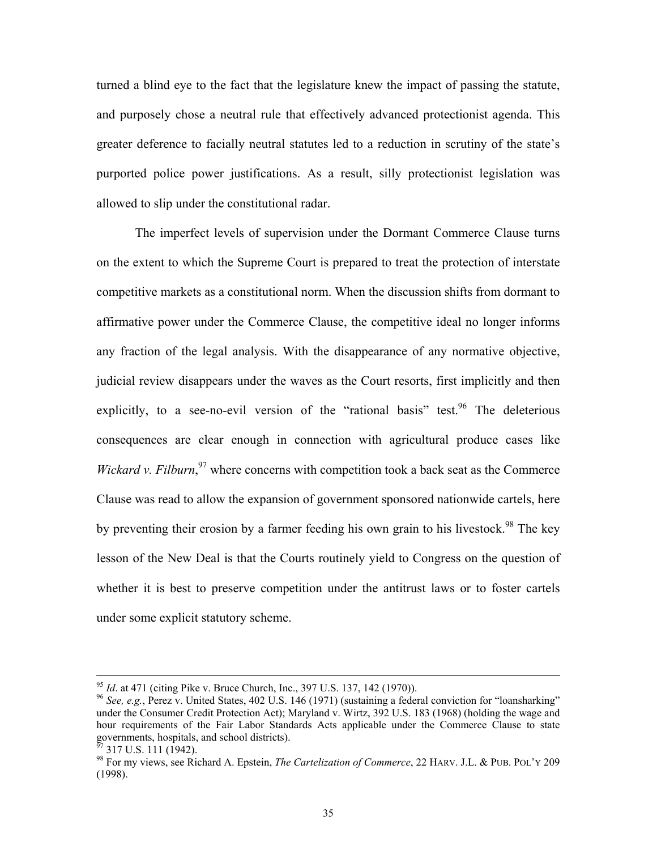turned a blind eye to the fact that the legislature knew the impact of passing the statute, and purposely chose a neutral rule that effectively advanced protectionist agenda. This greater deference to facially neutral statutes led to a reduction in scrutiny of the state's purported police power justifications. As a result, silly protectionist legislation was allowed to slip under the constitutional radar.

The imperfect levels of supervision under the Dormant Commerce Clause turns on the extent to which the Supreme Court is prepared to treat the protection of interstate competitive markets as a constitutional norm. When the discussion shifts from dormant to affirmative power under the Commerce Clause, the competitive ideal no longer informs any fraction of the legal analysis. With the disappearance of any normative objective, judicial review disappears under the waves as the Court resorts, first implicitly and then explicitly, to a see-no-evil version of the "rational basis" test.<sup>96</sup> The deleterious consequences are clear enough in connection with agricultural produce cases like *Wickard v. Filburn*,<sup>[97](#page-36-1)</sup> where concerns with competition took a back seat as the Commerce Clause was read to allow the expansion of government sponsored nationwide cartels, here by preventing their erosion by a farmer feeding his own grain to his livestock.<sup>98</sup> The key lesson of the New Deal is that the Courts routinely yield to Congress on the question of whether it is best to preserve competition under the antitrust laws or to foster cartels under some explicit statutory scheme.

<span id="page-36-0"></span>

<sup>&</sup>lt;sup>95</sup> *Id.* at 471 (citing Pike v. Bruce Church, Inc., 397 U.S. 137, 142 (1970)).<br><sup>96</sup> *See, e.g.*, Perez v. United States, 402 U.S. 146 (1971) (sustaining a federal conviction for "loansharking" under the Consumer Credit Protection Act); Maryland v. Wirtz, 392 U.S. 183 (1968) (holding the wage and hour requirements of the Fair Labor Standards Acts applicable under the Commerce Clause to state governments, hospitals, and school districts).<br><sup>97</sup> 317 U.S. 111 (1942).

<span id="page-36-1"></span>

<span id="page-36-2"></span><sup>98</sup> For my views, see Richard A. Epstein, *The Cartelization of Commerce*, 22 HARV. J.L. & PUB. POL'Y 209 (1998).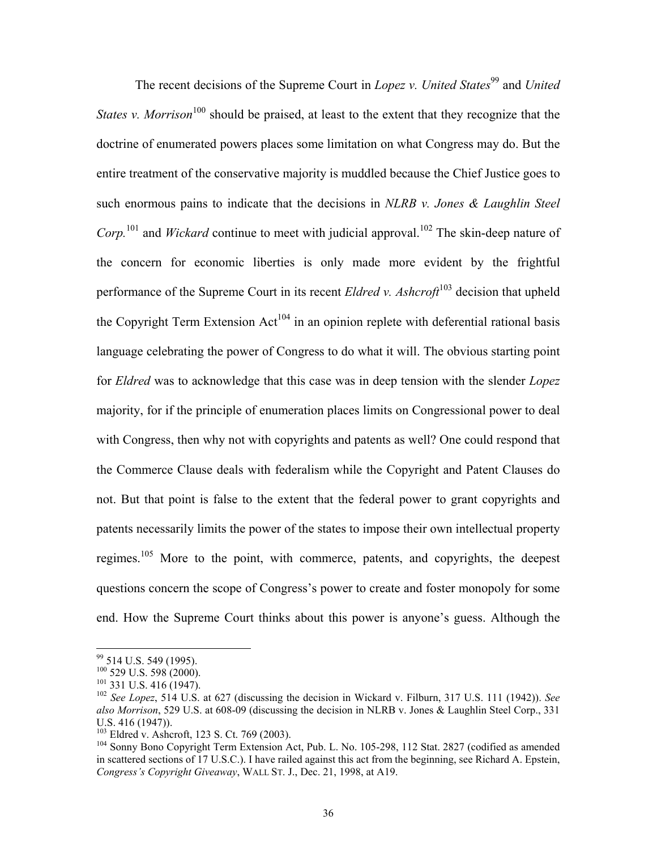The recent decisions of the Supreme Court in *Lopez v. United States*<sup>99</sup> and *United States v. Morrison*<sup>100</sup> should be praised, at least to the extent that they recognize that the doctrine of enumerated powers places some limitation on what Congress may do. But the entire treatment of the conservative majority is muddled because the Chief Justice goes to such enormous pains to indicate that the decisions in *NLRB v. Jones & Laughlin Steel Corp.*<sup>[101](#page-37-2)</sup> and *Wickard* continue to meet with judicial approval.<sup>102</sup> The skin-deep nature of the concern for economic liberties is only made more evident by the frightful performance of the Supreme Court in its recent *Eldred v. Ashcroft*<sup>[103](#page-37-4)</sup> decision that upheld the Copyright Term Extension  $Act^{104}$  in an opinion replete with deferential rational basis language celebrating the power of Congress to do what it will. The obvious starting point for *Eldred* was to acknowledge that this case was in deep tension with the slender *Lopez* majority, for if the principle of enumeration places limits on Congressional power to deal with Congress, then why not with copyrights and patents as well? One could respond that the Commerce Clause deals with federalism while the Copyright and Patent Clauses do not. But that point is false to the extent that the federal power to grant copyrights and patents necessarily limits the power of the states to impose their own intellectual property regimes.<sup>105</sup> More to the point, with commerce, patents, and copyrights, the deepest questions concern the scope of Congress's power to create and foster monopoly for some end. How the Supreme Court thinks about this power is anyone's guess. Although the

<span id="page-37-0"></span> $\frac{99}{100}$  514 U.S. 549 (1995).<br> $\frac{100}{229}$  U.S. 598 (2000).

<span id="page-37-1"></span>

<span id="page-37-3"></span><span id="page-37-2"></span>

<sup>&</sup>lt;sup>101</sup> 331 U.S. 416 (1947).<br><sup>102</sup> *See Lopez*, 514 U.S. at 627 (discussing the decision in Wickard v. Filburn, 317 U.S. 111 (1942)). *See also Morrison*, 529 U.S. at 608-09 (discussing the decision in NLRB v. Jones & Laughlin Steel Corp., 331 U.S. 416 (1947)).<br><sup>103</sup> Eldred v. Ashcroft, 123 S. Ct. 769 (2003).

<span id="page-37-4"></span>

<span id="page-37-6"></span><span id="page-37-5"></span> $104$  Sonny Bono Copyright Term Extension Act, Pub. L. No. 105-298, 112 Stat. 2827 (codified as amended in scattered sections of 17 U.S.C.). I have railed against this act from the beginning, see Richard A. Epstein, *Congress's Copyright Giveaway*, WALL ST. J., Dec. 21, 1998, at A19.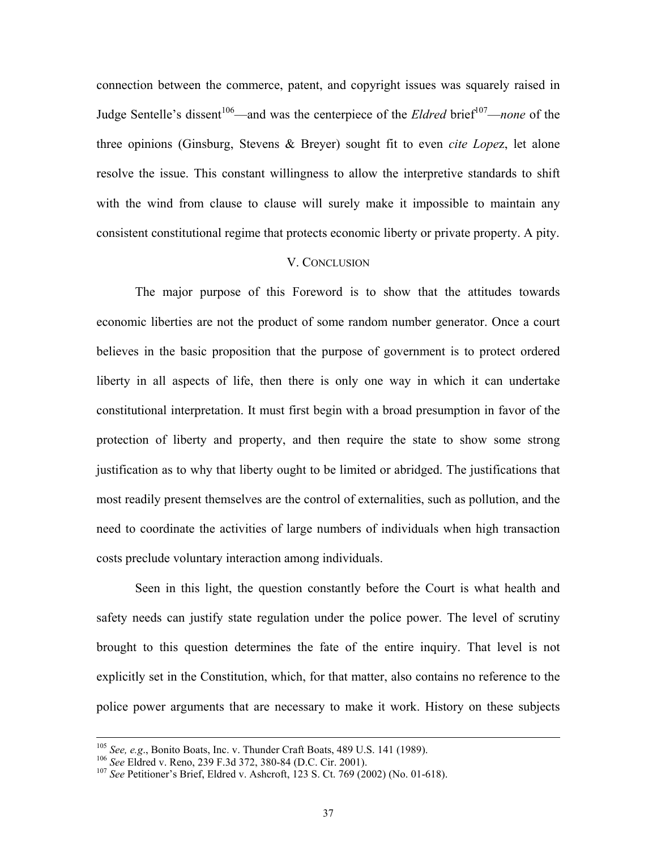connection between the commerce, patent, and copyright issues was squarely raised in Judge Sentelle's dissent<sup>106</sup>—and was the centerpiece of the *Eldred* brief<sup>107</sup>—*none* of the three opinions (Ginsburg, Stevens & Breyer) sought fit to even *cite Lope*z, let alone resolve the issue. This constant willingness to allow the interpretive standards to shift with the wind from clause to clause will surely make it impossible to maintain any consistent constitutional regime that protects economic liberty or private property. A pity.

#### V. CONCLUSION

The major purpose of this Foreword is to show that the attitudes towards economic liberties are not the product of some random number generator. Once a court believes in the basic proposition that the purpose of government is to protect ordered liberty in all aspects of life, then there is only one way in which it can undertake constitutional interpretation. It must first begin with a broad presumption in favor of the protection of liberty and property, and then require the state to show some strong justification as to why that liberty ought to be limited or abridged. The justifications that most readily present themselves are the control of externalities, such as pollution, and the need to coordinate the activities of large numbers of individuals when high transaction costs preclude voluntary interaction among individuals.

Seen in this light, the question constantly before the Court is what health and safety needs can justify state regulation under the police power. The level of scrutiny brought to this question determines the fate of the entire inquiry. That level is not explicitly set in the Constitution, which, for that matter, also contains no reference to the police power arguments that are necessary to make it work. History on these subjects

<sup>&</sup>lt;sup>105</sup> See, e.g., Bonito Boats, Inc. v. Thunder Craft Boats, 489 U.S. 141 (1989).<br><sup>106</sup> See Eldred v. Reno, 239 F.3d 372, 380-84 (D.C. Cir. 2001).<br><sup>107</sup> See Petitioner's Brief. Eldred v. Ashcroft, 123 S. Ct. 769 (2002) (No

<span id="page-38-0"></span>

<span id="page-38-1"></span>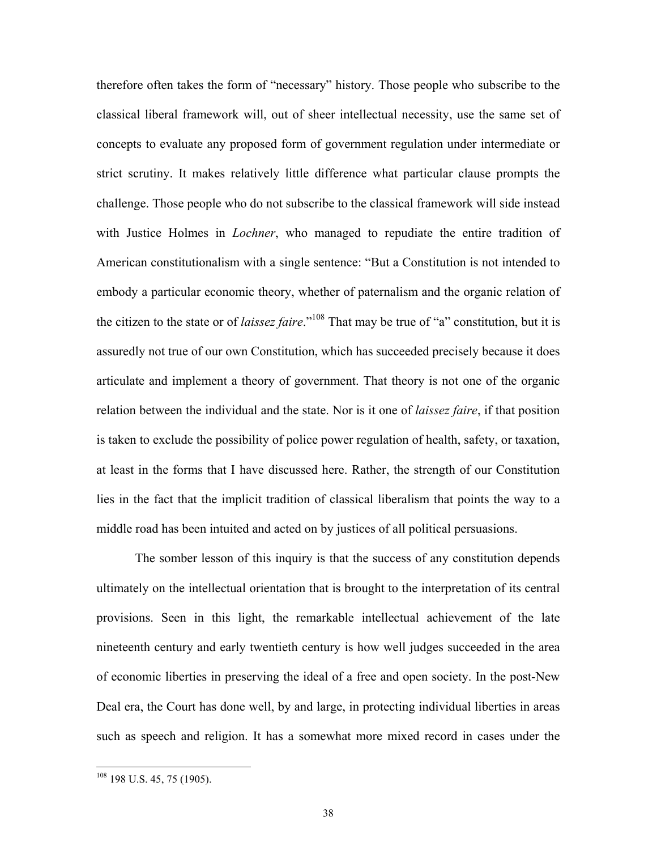therefore often takes the form of "necessary" history. Those people who subscribe to the classical liberal framework will, out of sheer intellectual necessity, use the same set of concepts to evaluate any proposed form of government regulation under intermediate or strict scrutiny. It makes relatively little difference what particular clause prompts the challenge. Those people who do not subscribe to the classical framework will side instead with Justice Holmes in *Lochner*, who managed to repudiate the entire tradition of American constitutionalism with a single sentence: "But a Constitution is not intended to embody a particular economic theory, whether of paternalism and the organic relation of the citizen to the state or of *laissez faire*."[108 T](#page-39-0)hat may be true of "a" constitution, but it is assuredly not true of our own Constitution, which has succeeded precisely because it does articulate and implement a theory of government. That theory is not one of the organic relation between the individual and the state. Nor is it one of *laissez faire*, if that position is taken to exclude the possibility of police power regulation of health, safety, or taxation, at least in the forms that I have discussed here. Rather, the strength of our Constitution lies in the fact that the implicit tradition of classical liberalism that points the way to a middle road has been intuited and acted on by justices of all political persuasions.

The somber lesson of this inquiry is that the success of any constitution depends ultimately on the intellectual orientation that is brought to the interpretation of its central provisions. Seen in this light, the remarkable intellectual achievement of the late nineteenth century and early twentieth century is how well judges succeeded in the area of economic liberties in preserving the ideal of a free and open society. In the post-New Deal era, the Court has done well, by and large, in protecting individual liberties in areas such as speech and religion. It has a somewhat more mixed record in cases under the

<span id="page-39-0"></span> $108$  198 U.S. 45, 75 (1905).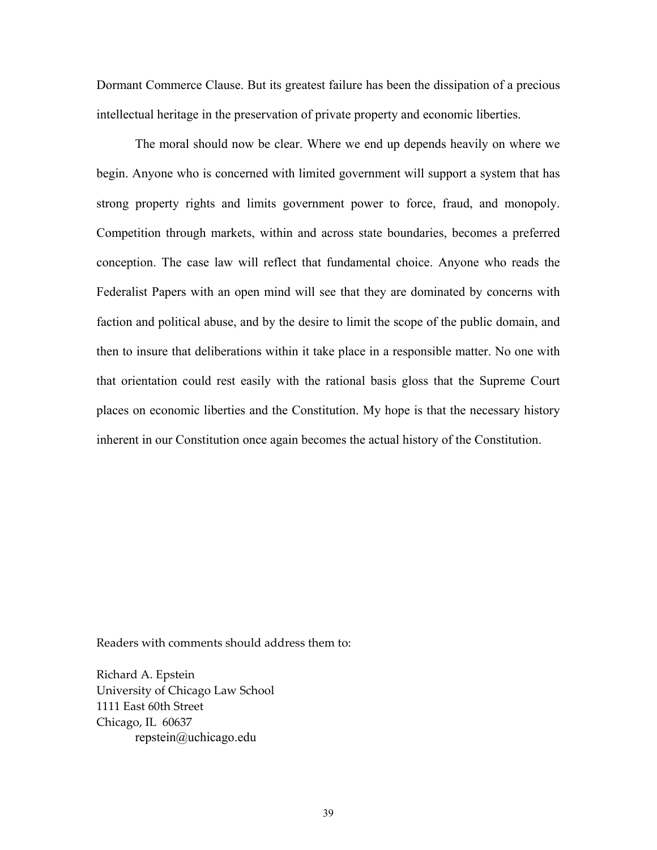Dormant Commerce Clause. But its greatest failure has been the dissipation of a precious intellectual heritage in the preservation of private property and economic liberties.

The moral should now be clear. Where we end up depends heavily on where we begin. Anyone who is concerned with limited government will support a system that has strong property rights and limits government power to force, fraud, and monopoly. Competition through markets, within and across state boundaries, becomes a preferred conception. The case law will reflect that fundamental choice. Anyone who reads the Federalist Papers with an open mind will see that they are dominated by concerns with faction and political abuse, and by the desire to limit the scope of the public domain, and then to insure that deliberations within it take place in a responsible matter. No one with that orientation could rest easily with the rational basis gloss that the Supreme Court places on economic liberties and the Constitution. My hope is that the necessary history inherent in our Constitution once again becomes the actual history of the Constitution.

Readers with comments should address them to:

Richard A. Epstein University of Chicago Law School 1111 East 60th Street Chicago, IL 60637 repstein@uchicago.edu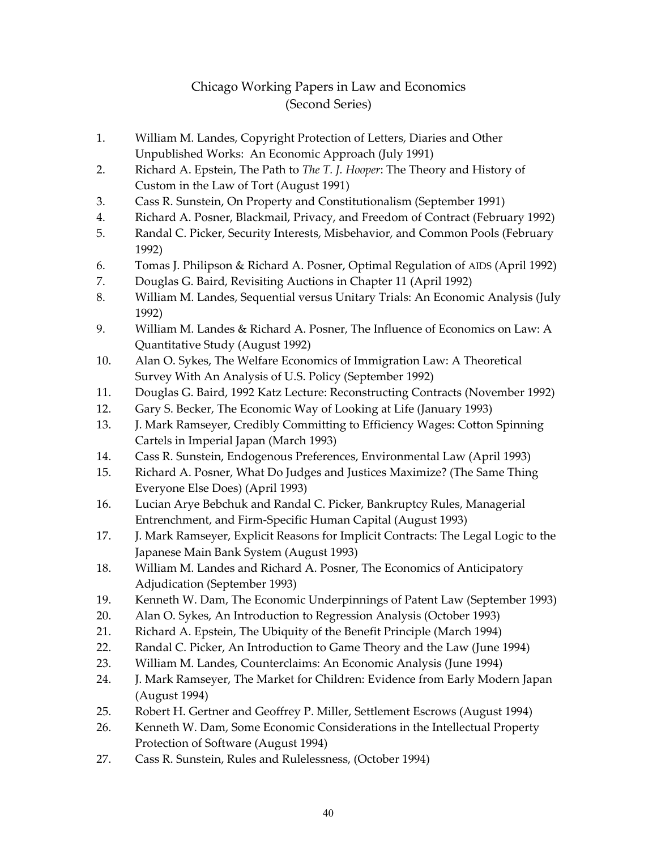#### Chicago Working Papers in Law and Economics (Second Series)

- 1. William M. Landes, Copyright Protection of Letters, Diaries and Other Unpublished Works: An Economic Approach (July 1991)
- 2. Richard A. Epstein, The Path to *The T. J. Hooper*: The Theory and History of Custom in the Law of Tort (August 1991)
- 3. Cass R. Sunstein, On Property and Constitutionalism (September 1991)
- 4. Richard A. Posner, Blackmail, Privacy, and Freedom of Contract (February 1992)
- 5. Randal C. Picker, Security Interests, Misbehavior, and Common Pools (February 1992)
- 6. Tomas J. Philipson & Richard A. Posner, Optimal Regulation of AIDS (April 1992)
- 7. Douglas G. Baird, Revisiting Auctions in Chapter 11 (April 1992)
- 8. William M. Landes, Sequential versus Unitary Trials: An Economic Analysis (July 1992)
- 9. William M. Landes & Richard A. Posner, The Influence of Economics on Law: A Quantitative Study (August 1992)
- 10. Alan O. Sykes, The Welfare Economics of Immigration Law: A Theoretical Survey With An Analysis of U.S. Policy (September 1992)
- 11. Douglas G. Baird, 1992 Katz Lecture: Reconstructing Contracts (November 1992)
- 12. Gary S. Becker, The Economic Way of Looking at Life (January 1993)
- 13. J. Mark Ramseyer, Credibly Committing to Efficiency Wages: Cotton Spinning Cartels in Imperial Japan (March 1993)
- 14. Cass R. Sunstein, Endogenous Preferences, Environmental Law (April 1993)
- 15. Richard A. Posner, What Do Judges and Justices Maximize? (The Same Thing Everyone Else Does) (April 1993)
- 16. Lucian Arye Bebchuk and Randal C. Picker, Bankruptcy Rules, Managerial Entrenchment, and Firm-Specific Human Capital (August 1993)
- 17. J. Mark Ramseyer, Explicit Reasons for Implicit Contracts: The Legal Logic to the Japanese Main Bank System (August 1993)
- 18. William M. Landes and Richard A. Posner, The Economics of Anticipatory Adjudication (September 1993)
- 19. Kenneth W. Dam, The Economic Underpinnings of Patent Law (September 1993)
- 20. Alan O. Sykes, An Introduction to Regression Analysis (October 1993)
- 21. Richard A. Epstein, The Ubiquity of the Benefit Principle (March 1994)
- 22. Randal C. Picker, An Introduction to Game Theory and the Law (June 1994)
- 23. William M. Landes, Counterclaims: An Economic Analysis (June 1994)
- 24. J. Mark Ramseyer, The Market for Children: Evidence from Early Modern Japan (August 1994)
- 25. Robert H. Gertner and Geoffrey P. Miller, Settlement Escrows (August 1994)
- 26. Kenneth W. Dam, Some Economic Considerations in the Intellectual Property Protection of Software (August 1994)
- 27. Cass R. Sunstein, Rules and Rulelessness, (October 1994)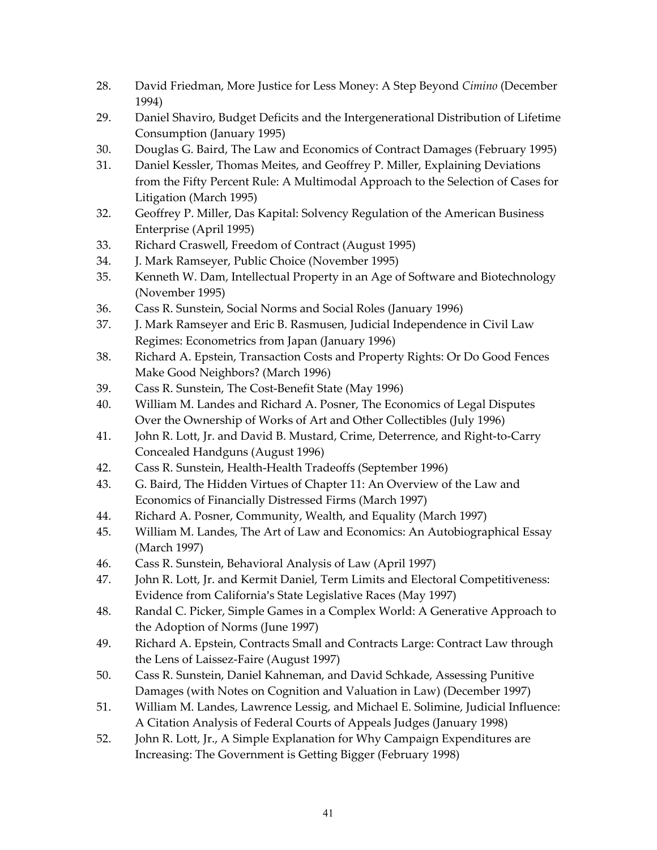- 28. David Friedman, More Justice for Less Money: A Step Beyond *Cimino* (December 1994)
- 29. Daniel Shaviro, Budget Deficits and the Intergenerational Distribution of Lifetime Consumption (January 1995)
- 30. Douglas G. Baird, The Law and Economics of Contract Damages (February 1995)
- 31. Daniel Kessler, Thomas Meites, and Geoffrey P. Miller, Explaining Deviations from the Fifty Percent Rule: A Multimodal Approach to the Selection of Cases for Litigation (March 1995)
- 32. Geoffrey P. Miller, Das Kapital: Solvency Regulation of the American Business Enterprise (April 1995)
- 33. Richard Craswell, Freedom of Contract (August 1995)
- 34. J. Mark Ramseyer, Public Choice (November 1995)
- 35. Kenneth W. Dam, Intellectual Property in an Age of Software and Biotechnology (November 1995)
- 36. Cass R. Sunstein, Social Norms and Social Roles (January 1996)
- 37. J. Mark Ramseyer and Eric B. Rasmusen, Judicial Independence in Civil Law Regimes: Econometrics from Japan (January 1996)
- 38. Richard A. Epstein, Transaction Costs and Property Rights: Or Do Good Fences Make Good Neighbors? (March 1996)
- 39. Cass R. Sunstein, The Cost-Benefit State (May 1996)
- 40. William M. Landes and Richard A. Posner, The Economics of Legal Disputes Over the Ownership of Works of Art and Other Collectibles (July 1996)
- 41. John R. Lott, Jr. and David B. Mustard, Crime, Deterrence, and Right-to-Carry Concealed Handguns (August 1996)
- 42. Cass R. Sunstein, Health-Health Tradeoffs (September 1996)
- 43. G. Baird, The Hidden Virtues of Chapter 11: An Overview of the Law and Economics of Financially Distressed Firms (March 1997)
- 44. Richard A. Posner, Community, Wealth, and Equality (March 1997)
- 45. William M. Landes, The Art of Law and Economics: An Autobiographical Essay (March 1997)
- 46. Cass R. Sunstein, Behavioral Analysis of Law (April 1997)
- 47. John R. Lott, Jr. and Kermit Daniel, Term Limits and Electoral Competitiveness: Evidence from California's State Legislative Races (May 1997)
- 48. Randal C. Picker, Simple Games in a Complex World: A Generative Approach to the Adoption of Norms (June 1997)
- 49. Richard A. Epstein, Contracts Small and Contracts Large: Contract Law through the Lens of Laissez-Faire (August 1997)
- 50. Cass R. Sunstein, Daniel Kahneman, and David Schkade, Assessing Punitive Damages (with Notes on Cognition and Valuation in Law) (December 1997)
- 51. William M. Landes, Lawrence Lessig, and Michael E. Solimine, Judicial Influence: A Citation Analysis of Federal Courts of Appeals Judges (January 1998)
- 52. John R. Lott, Jr., A Simple Explanation for Why Campaign Expenditures are Increasing: The Government is Getting Bigger (February 1998)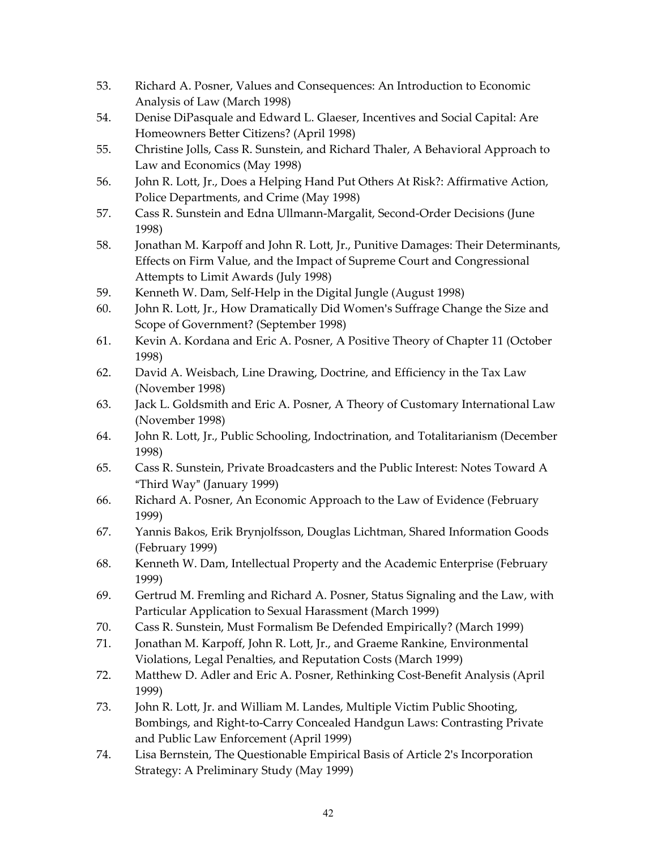- 53. Richard A. Posner, Values and Consequences: An Introduction to Economic Analysis of Law (March 1998)
- 54. Denise DiPasquale and Edward L. Glaeser, Incentives and Social Capital: Are Homeowners Better Citizens? (April 1998)
- 55. Christine Jolls, Cass R. Sunstein, and Richard Thaler, A Behavioral Approach to Law and Economics (May 1998)
- 56. John R. Lott, Jr., Does a Helping Hand Put Others At Risk?: Affirmative Action, Police Departments, and Crime (May 1998)
- 57. Cass R. Sunstein and Edna Ullmann-Margalit, Second-Order Decisions (June 1998)
- 58. Jonathan M. Karpoff and John R. Lott, Jr., Punitive Damages: Their Determinants, Effects on Firm Value, and the Impact of Supreme Court and Congressional Attempts to Limit Awards (July 1998)
- 59. Kenneth W. Dam, Self-Help in the Digital Jungle (August 1998)
- 60. John R. Lott, Jr., How Dramatically Did Women's Suffrage Change the Size and Scope of Government? (September 1998)
- 61. Kevin A. Kordana and Eric A. Posner, A Positive Theory of Chapter 11 (October 1998)
- 62. David A. Weisbach, Line Drawing, Doctrine, and Efficiency in the Tax Law (November 1998)
- 63. Jack L. Goldsmith and Eric A. Posner, A Theory of Customary International Law (November 1998)
- 64. John R. Lott, Jr., Public Schooling, Indoctrination, and Totalitarianism (December 1998)
- 65. Cass R. Sunstein, Private Broadcasters and the Public Interest: Notes Toward A "Third Way" (January 1999)
- 66. Richard A. Posner, An Economic Approach to the Law of Evidence (February 1999)
- 67. Yannis Bakos, Erik Brynjolfsson, Douglas Lichtman, Shared Information Goods (February 1999)
- 68. Kenneth W. Dam, Intellectual Property and the Academic Enterprise (February 1999)
- 69. Gertrud M. Fremling and Richard A. Posner, Status Signaling and the Law, with Particular Application to Sexual Harassment (March 1999)
- 70. Cass R. Sunstein, Must Formalism Be Defended Empirically? (March 1999)
- 71. Jonathan M. Karpoff, John R. Lott, Jr., and Graeme Rankine, Environmental Violations, Legal Penalties, and Reputation Costs (March 1999)
- 72. Matthew D. Adler and Eric A. Posner, Rethinking Cost-Benefit Analysis (April 1999)
- 73. John R. Lott, Jr. and William M. Landes, Multiple Victim Public Shooting, Bombings, and Right-to-Carry Concealed Handgun Laws: Contrasting Private and Public Law Enforcement (April 1999)
- 74. Lisa Bernstein, The Questionable Empirical Basis of Article 2's Incorporation Strategy: A Preliminary Study (May 1999)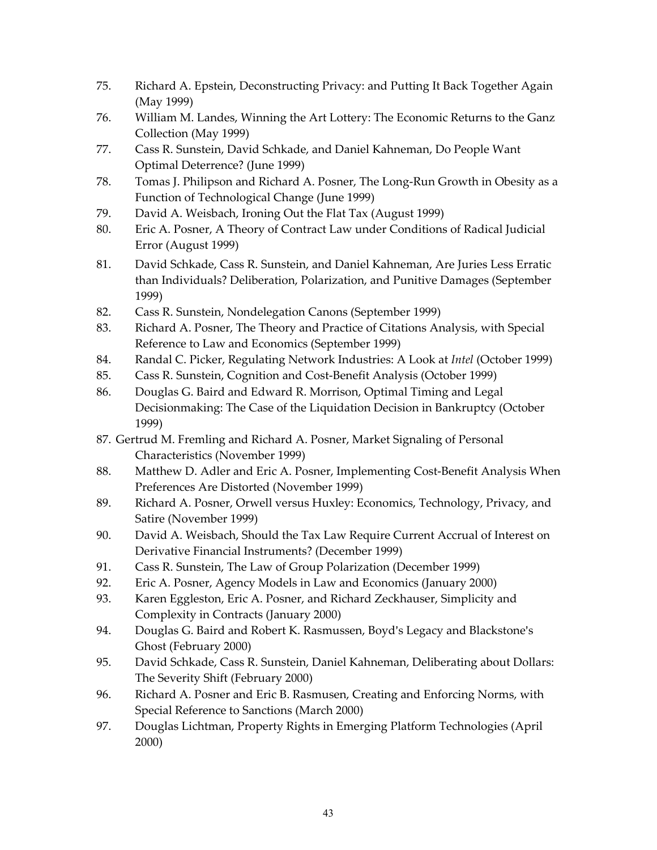- 75. Richard A. Epstein, Deconstructing Privacy: and Putting It Back Together Again (May 1999)
- 76. William M. Landes, Winning the Art Lottery: The Economic Returns to the Ganz Collection (May 1999)
- 77. Cass R. Sunstein, David Schkade, and Daniel Kahneman, Do People Want Optimal Deterrence? (June 1999)
- 78. Tomas J. Philipson and Richard A. Posner, The Long-Run Growth in Obesity as a Function of Technological Change (June 1999)
- 79. David A. Weisbach, Ironing Out the Flat Tax (August 1999)
- 80. Eric A. Posner, A Theory of Contract Law under Conditions of Radical Judicial Error (August 1999)
- 81. David Schkade, Cass R. Sunstein, and Daniel Kahneman, Are Juries Less Erratic than Individuals? Deliberation, Polarization, and Punitive Damages (September 1999)
- 82. Cass R. Sunstein, Nondelegation Canons (September 1999)
- 83. Richard A. Posner, The Theory and Practice of Citations Analysis, with Special Reference to Law and Economics (September 1999)
- 84. Randal C. Picker, Regulating Network Industries: A Look at *Intel* (October 1999)
- 85. Cass R. Sunstein, Cognition and Cost-Benefit Analysis (October 1999)
- 86. Douglas G. Baird and Edward R. Morrison, Optimal Timing and Legal Decisionmaking: The Case of the Liquidation Decision in Bankruptcy (October 1999)
- 87. Gertrud M. Fremling and Richard A. Posner, Market Signaling of Personal Characteristics (November 1999)
- 88. Matthew D. Adler and Eric A. Posner, Implementing Cost-Benefit Analysis When Preferences Are Distorted (November 1999)
- 89. Richard A. Posner, Orwell versus Huxley: Economics, Technology, Privacy, and Satire (November 1999)
- 90. David A. Weisbach, Should the Tax Law Require Current Accrual of Interest on Derivative Financial Instruments? (December 1999)
- 91. Cass R. Sunstein, The Law of Group Polarization (December 1999)
- 92. Eric A. Posner, Agency Models in Law and Economics (January 2000)
- 93. Karen Eggleston, Eric A. Posner, and Richard Zeckhauser, Simplicity and Complexity in Contracts (January 2000)
- 94. Douglas G. Baird and Robert K. Rasmussen, Boyd's Legacy and Blackstone's Ghost (February 2000)
- 95. David Schkade, Cass R. Sunstein, Daniel Kahneman, Deliberating about Dollars: The Severity Shift (February 2000)
- 96. Richard A. Posner and Eric B. Rasmusen, Creating and Enforcing Norms, with Special Reference to Sanctions (March 2000)
- 97. Douglas Lichtman, Property Rights in Emerging Platform Technologies (April 2000)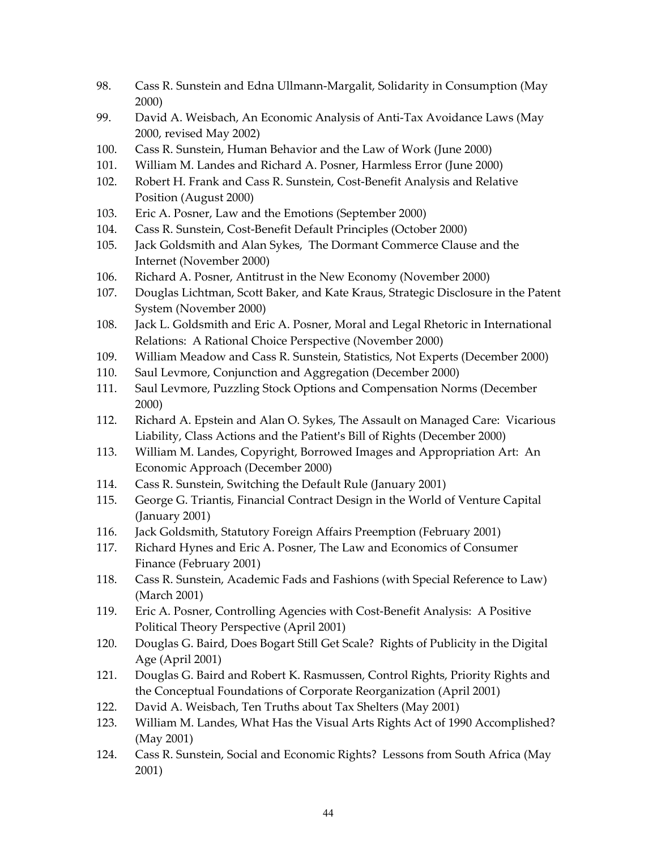- 98. Cass R. Sunstein and Edna Ullmann-Margalit, Solidarity in Consumption (May 2000)
- 99. David A. Weisbach, An Economic Analysis of Anti-Tax Avoidance Laws (May 2000, revised May 2002)
- 100. Cass R. Sunstein, Human Behavior and the Law of Work (June 2000)
- 101. William M. Landes and Richard A. Posner, Harmless Error (June 2000)
- 102. Robert H. Frank and Cass R. Sunstein, Cost-Benefit Analysis and Relative Position (August 2000)
- 103. Eric A. Posner, Law and the Emotions (September 2000)
- 104. Cass R. Sunstein, Cost-Benefit Default Principles (October 2000)
- 105. Jack Goldsmith and Alan Sykes, The Dormant Commerce Clause and the Internet (November 2000)
- 106. Richard A. Posner, Antitrust in the New Economy (November 2000)
- 107. Douglas Lichtman, Scott Baker, and Kate Kraus, Strategic Disclosure in the Patent System (November 2000)
- 108. Jack L. Goldsmith and Eric A. Posner, Moral and Legal Rhetoric in International Relations: A Rational Choice Perspective (November 2000)
- 109. William Meadow and Cass R. Sunstein, Statistics, Not Experts (December 2000)
- 110. Saul Levmore, Conjunction and Aggregation (December 2000)
- 111. Saul Levmore, Puzzling Stock Options and Compensation Norms (December 2000)
- 112. Richard A. Epstein and Alan O. Sykes, The Assault on Managed Care: Vicarious Liability, Class Actions and the Patient's Bill of Rights (December 2000)
- 113. William M. Landes, Copyright, Borrowed Images and Appropriation Art: An Economic Approach (December 2000)
- 114. Cass R. Sunstein, Switching the Default Rule (January 2001)
- 115. George G. Triantis, Financial Contract Design in the World of Venture Capital (January 2001)
- 116. Jack Goldsmith, Statutory Foreign Affairs Preemption (February 2001)
- 117. Richard Hynes and Eric A. Posner, The Law and Economics of Consumer Finance (February 2001)
- 118. Cass R. Sunstein, Academic Fads and Fashions (with Special Reference to Law) (March 2001)
- 119. Eric A. Posner, Controlling Agencies with Cost-Benefit Analysis: A Positive Political Theory Perspective (April 2001)
- 120. Douglas G. Baird, Does Bogart Still Get Scale? Rights of Publicity in the Digital Age (April 2001)
- 121. Douglas G. Baird and Robert K. Rasmussen, Control Rights, Priority Rights and the Conceptual Foundations of Corporate Reorganization (April 2001)
- 122. David A. Weisbach, Ten Truths about Tax Shelters (May 2001)
- 123. William M. Landes, What Has the Visual Arts Rights Act of 1990 Accomplished? (May 2001)
- 124. Cass R. Sunstein, Social and Economic Rights? Lessons from South Africa (May 2001)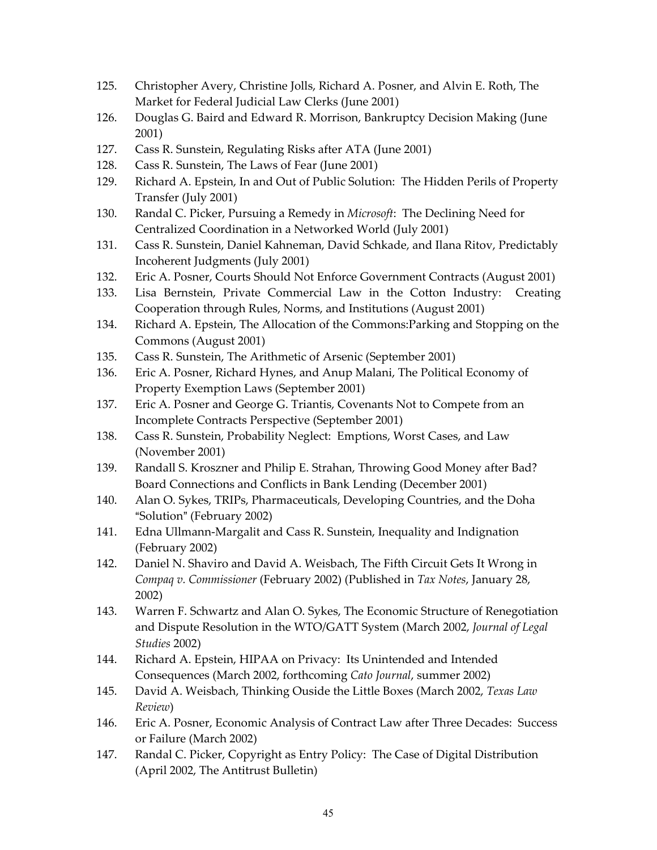- 125. Christopher Avery, Christine Jolls, Richard A. Posner, and Alvin E. Roth, The Market for Federal Judicial Law Clerks (June 2001)
- 126. Douglas G. Baird and Edward R. Morrison, Bankruptcy Decision Making (June 2001)
- 127. Cass R. Sunstein, Regulating Risks after ATA (June 2001)
- 128. Cass R. Sunstein, The Laws of Fear (June 2001)
- 129. Richard A. Epstein, In and Out of Public Solution: The Hidden Perils of Property Transfer (July 2001)
- 130. Randal C. Picker, Pursuing a Remedy in *Microsoft*: The Declining Need for Centralized Coordination in a Networked World (July 2001)
- 131. Cass R. Sunstein, Daniel Kahneman, David Schkade, and Ilana Ritov, Predictably Incoherent Judgments (July 2001)
- 132. Eric A. Posner, Courts Should Not Enforce Government Contracts (August 2001)
- 133. Lisa Bernstein, Private Commercial Law in the Cotton Industry: Creating Cooperation through Rules, Norms, and Institutions (August 2001)
- 134. Richard A. Epstein, The Allocation of the Commons:Parking and Stopping on the Commons (August 2001)
- 135. Cass R. Sunstein, The Arithmetic of Arsenic (September 2001)
- 136. Eric A. Posner, Richard Hynes, and Anup Malani, The Political Economy of Property Exemption Laws (September 2001)
- 137. Eric A. Posner and George G. Triantis, Covenants Not to Compete from an Incomplete Contracts Perspective (September 2001)
- 138. Cass R. Sunstein, Probability Neglect: Emptions, Worst Cases, and Law (November 2001)
- 139. Randall S. Kroszner and Philip E. Strahan, Throwing Good Money after Bad? Board Connections and Conflicts in Bank Lending (December 2001)
- 140. Alan O. Sykes, TRIPs, Pharmaceuticals, Developing Countries, and the Doha "Solution" (February 2002)
- 141. Edna Ullmann-Margalit and Cass R. Sunstein, Inequality and Indignation (February 2002)
- 142. Daniel N. Shaviro and David A. Weisbach, The Fifth Circuit Gets It Wrong in *Compaq v. Commissioner* (February 2002) (Published in *Tax Notes*, January 28, 2002)
- 143. Warren F. Schwartz and Alan O. Sykes, The Economic Structure of Renegotiation and Dispute Resolution in the WTO/GATT System (March 2002, *Journal of Legal Studies* 2002)
- 144. Richard A. Epstein, HIPAA on Privacy: Its Unintended and Intended Consequences (March 2002, forthcoming *Cato Journal*, summer 2002)
- 145. David A. Weisbach, Thinking Ouside the Little Boxes (March 2002, *Texas Law Review*)
- 146. Eric A. Posner, Economic Analysis of Contract Law after Three Decades: Success or Failure (March 2002)
- 147. Randal C. Picker, Copyright as Entry Policy: The Case of Digital Distribution (April 2002, The Antitrust Bulletin)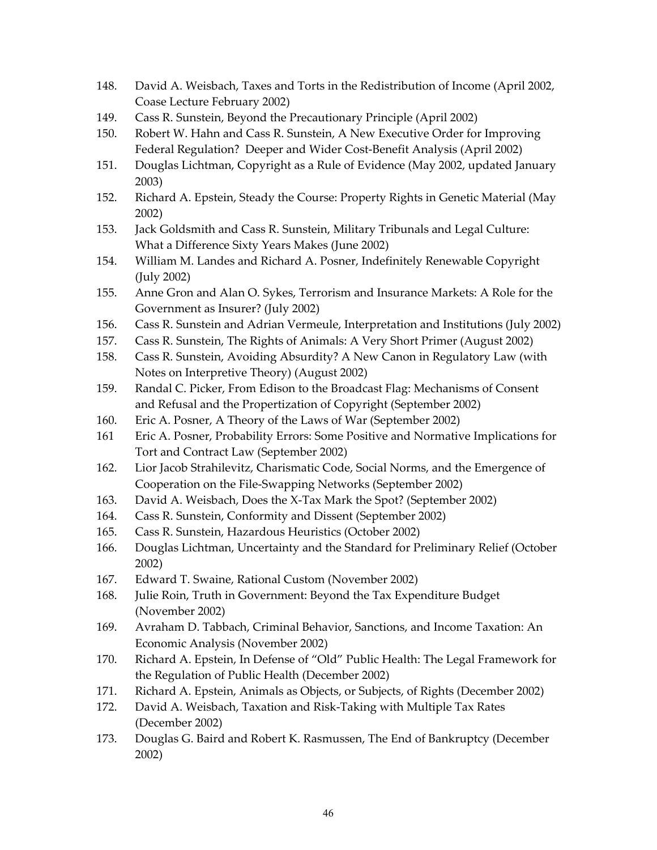- 148. David A. Weisbach, Taxes and Torts in the Redistribution of Income (April 2002, Coase Lecture February 2002)
- 149. Cass R. Sunstein, Beyond the Precautionary Principle (April 2002)
- 150. Robert W. Hahn and Cass R. Sunstein, A New Executive Order for Improving Federal Regulation? Deeper and Wider Cost-Benefit Analysis (April 2002)
- 151. Douglas Lichtman, Copyright as a Rule of Evidence (May 2002, updated January 2003)
- 152. Richard A. Epstein, Steady the Course: Property Rights in Genetic Material (May 2002)
- 153. Jack Goldsmith and Cass R. Sunstein, Military Tribunals and Legal Culture: What a Difference Sixty Years Makes (June 2002)
- 154. William M. Landes and Richard A. Posner, Indefinitely Renewable Copyright (July 2002)
- 155. Anne Gron and Alan O. Sykes, Terrorism and Insurance Markets: A Role for the Government as Insurer? (July 2002)
- 156. Cass R. Sunstein and Adrian Vermeule, Interpretation and Institutions (July 2002)
- 157. Cass R. Sunstein, The Rights of Animals: A Very Short Primer (August 2002)
- 158. Cass R. Sunstein, Avoiding Absurdity? A New Canon in Regulatory Law (with Notes on Interpretive Theory) (August 2002)
- 159. Randal C. Picker, From Edison to the Broadcast Flag: Mechanisms of Consent and Refusal and the Propertization of Copyright (September 2002)
- 160. Eric A. Posner, A Theory of the Laws of War (September 2002)
- 161 Eric A. Posner, Probability Errors: Some Positive and Normative Implications for Tort and Contract Law (September 2002)
- 162. Lior Jacob Strahilevitz, Charismatic Code, Social Norms, and the Emergence of Cooperation on the File-Swapping Networks (September 2002)
- 163. David A. Weisbach, Does the X-Tax Mark the Spot? (September 2002)
- 164. Cass R. Sunstein, Conformity and Dissent (September 2002)
- 165. Cass R. Sunstein, Hazardous Heuristics (October 2002)
- 166. Douglas Lichtman, Uncertainty and the Standard for Preliminary Relief (October 2002)
- 167. Edward T. Swaine, Rational Custom (November 2002)
- 168. Julie Roin, Truth in Government: Beyond the Tax Expenditure Budget (November 2002)
- 169. Avraham D. Tabbach, Criminal Behavior, Sanctions, and Income Taxation: An Economic Analysis (November 2002)
- 170. Richard A. Epstein, In Defense of "Old" Public Health: The Legal Framework for the Regulation of Public Health (December 2002)
- 171. Richard A. Epstein, Animals as Objects, or Subjects, of Rights (December 2002)
- 172. David A. Weisbach, Taxation and Risk-Taking with Multiple Tax Rates (December 2002)
- 173. Douglas G. Baird and Robert K. Rasmussen, The End of Bankruptcy (December 2002)